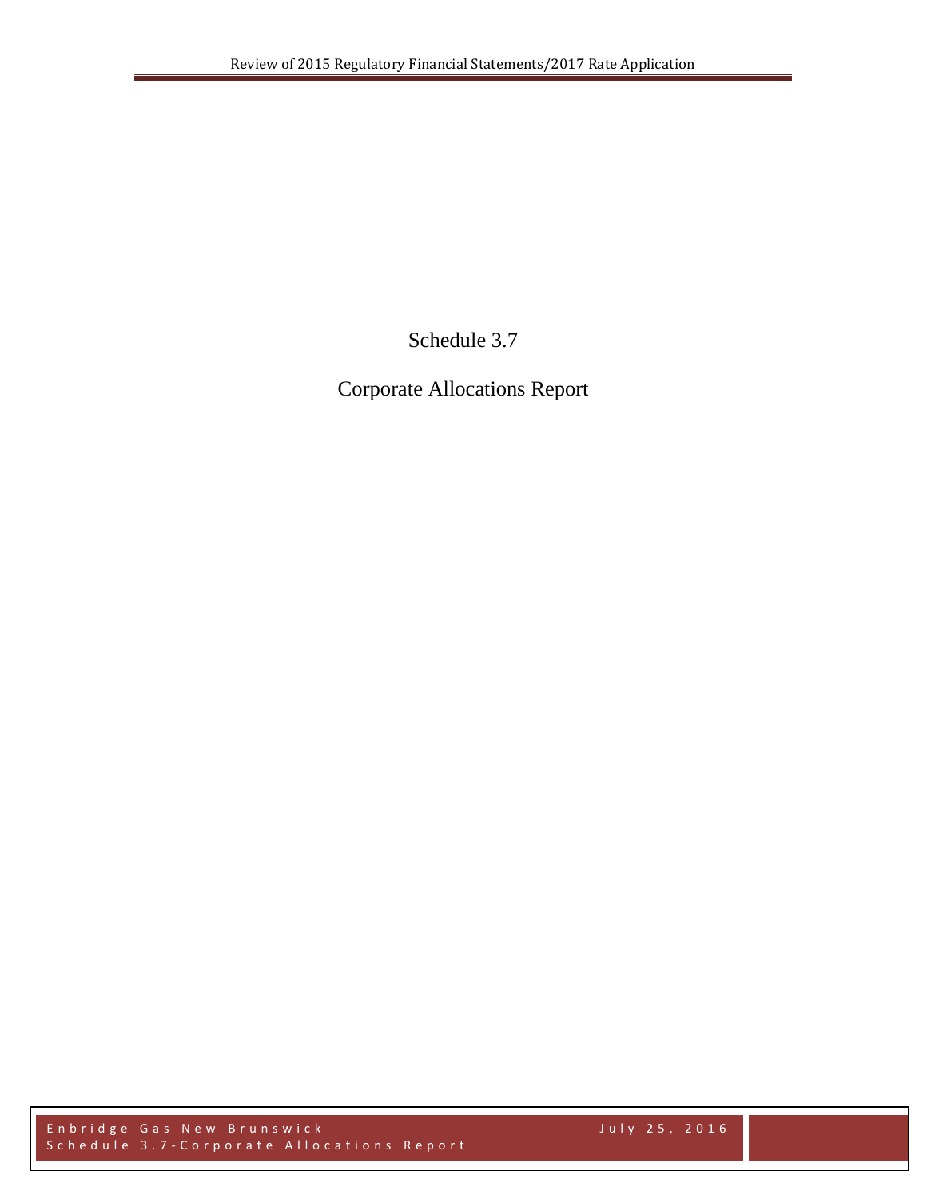Schedule 3.7

Corporate Allocations Report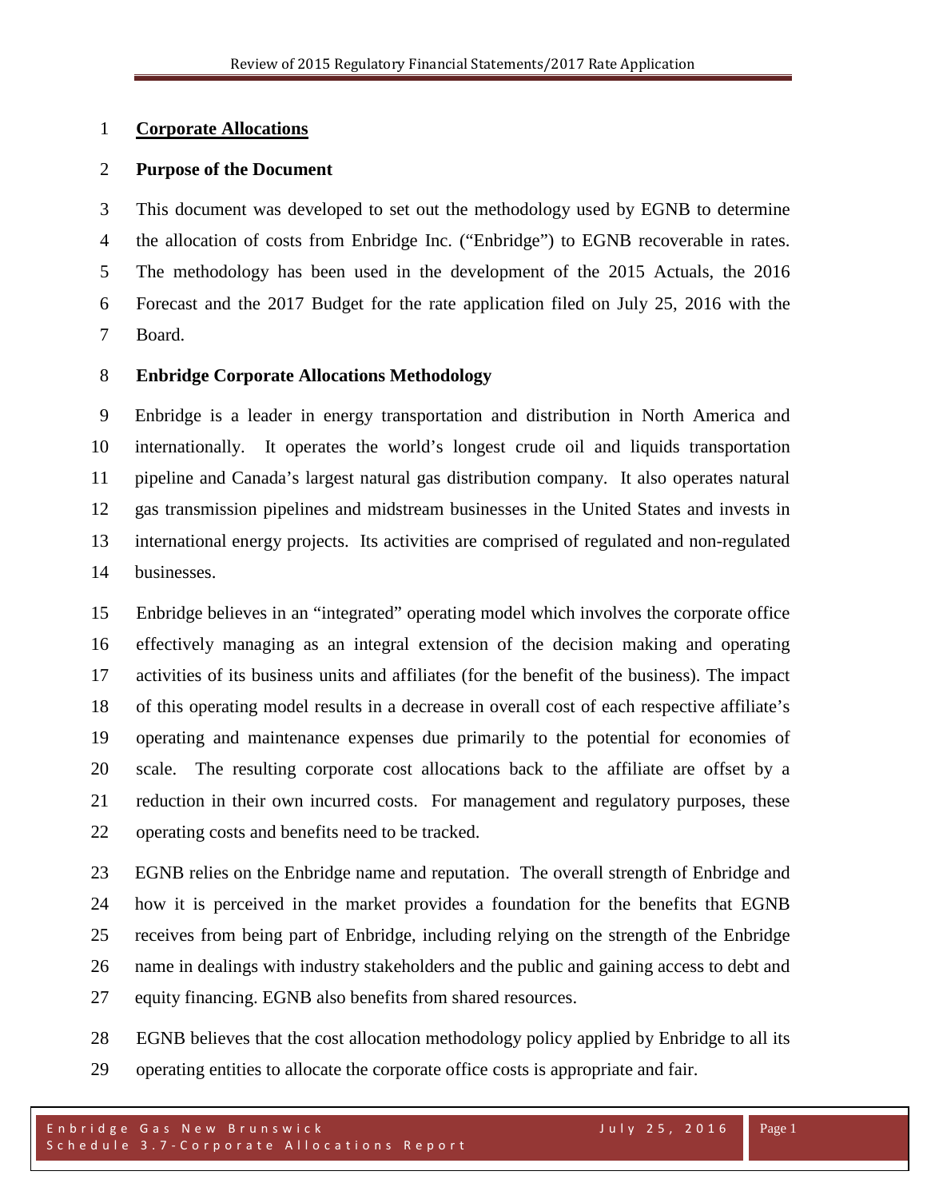## **Corporate Allocations**

## **Purpose of the Document**

 This document was developed to set out the methodology used by EGNB to determine the allocation of costs from Enbridge Inc. ("Enbridge") to EGNB recoverable in rates. The methodology has been used in the development of the 2015 Actuals, the 2016 Forecast and the 2017 Budget for the rate application filed on July 25, 2016 with the Board.

# **Enbridge Corporate Allocations Methodology**

 Enbridge is a leader in energy transportation and distribution in North America and internationally. It operates the world's longest crude oil and liquids transportation pipeline and Canada's largest natural gas distribution company. It also operates natural gas transmission pipelines and midstream businesses in the United States and invests in international energy projects. Its activities are comprised of regulated and non-regulated businesses.

 Enbridge believes in an "integrated" operating model which involves the corporate office effectively managing as an integral extension of the decision making and operating activities of its business units and affiliates (for the benefit of the business). The impact of this operating model results in a decrease in overall cost of each respective affiliate's operating and maintenance expenses due primarily to the potential for economies of scale. The resulting corporate cost allocations back to the affiliate are offset by a reduction in their own incurred costs. For management and regulatory purposes, these operating costs and benefits need to be tracked.

 EGNB relies on the Enbridge name and reputation. The overall strength of Enbridge and how it is perceived in the market provides a foundation for the benefits that EGNB receives from being part of Enbridge, including relying on the strength of the Enbridge name in dealings with industry stakeholders and the public and gaining access to debt and equity financing. EGNB also benefits from shared resources.

 EGNB believes that the cost allocation methodology policy applied by Enbridge to all its operating entities to allocate the corporate office costs is appropriate and fair.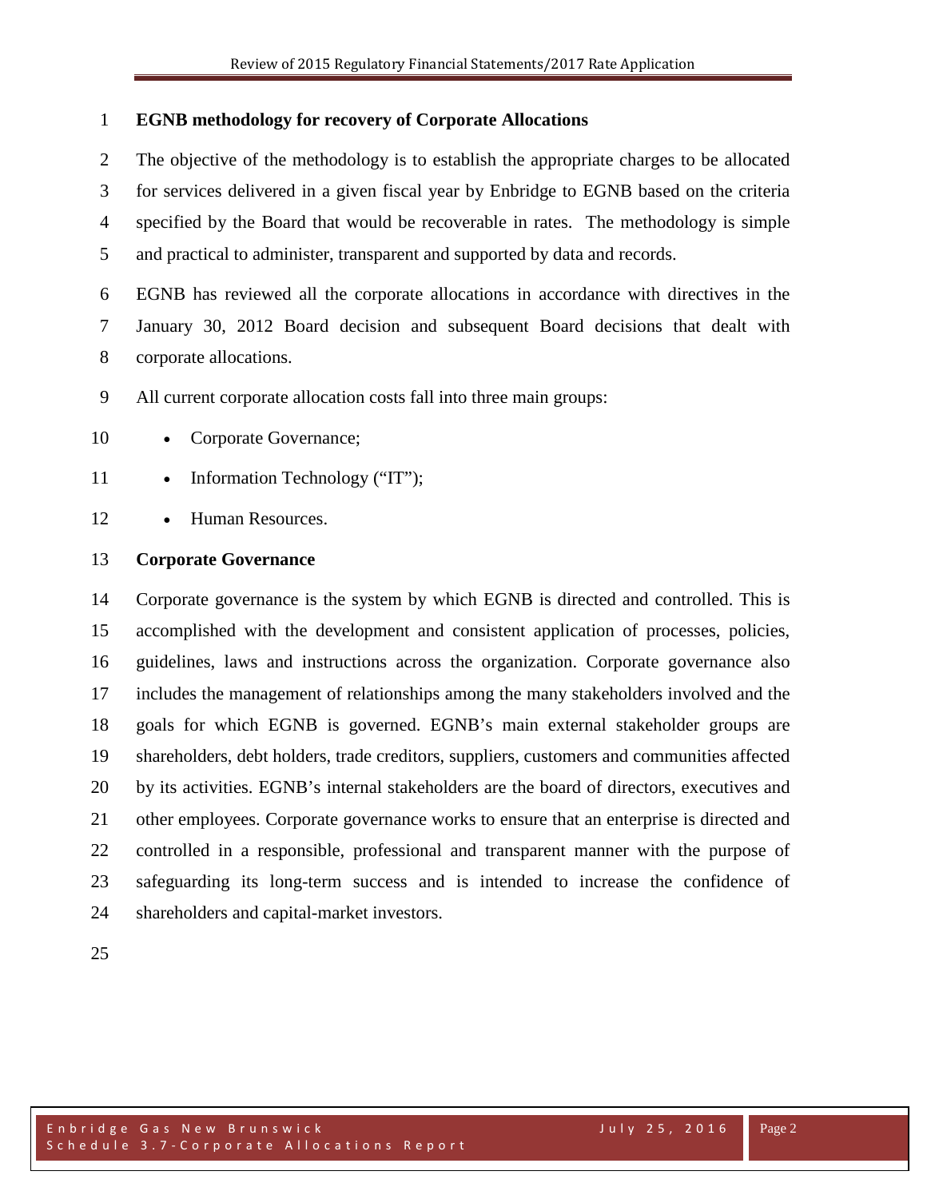### **EGNB methodology for recovery of Corporate Allocations**

 The objective of the methodology is to establish the appropriate charges to be allocated for services delivered in a given fiscal year by Enbridge to EGNB based on the criteria specified by the Board that would be recoverable in rates. The methodology is simple and practical to administer, transparent and supported by data and records.

 EGNB has reviewed all the corporate allocations in accordance with directives in the January 30, 2012 Board decision and subsequent Board decisions that dealt with corporate allocations.

All current corporate allocation costs fall into three main groups:

- 10 Corporate Governance;
- 11 Information Technology ("IT");
- Human Resources.

#### **Corporate Governance**

 Corporate governance is the system by which EGNB is directed and controlled. This is accomplished with the development and consistent application of processes, policies, guidelines, laws and instructions across the organization. Corporate [governance](http://en.wikipedia.org/wiki/Governance) also includes the management of relationships among the many [stakeholders](http://en.wikipedia.org/wiki/Stakeholder_(corporate)) involved and the goals for which EGNB is governed. EGNB's main external stakeholder groups are shareholders, debt holders, trade [creditors,](http://en.wikipedia.org/wiki/Creditor) suppliers, customers and communities affected by its activities. EGNB's internal stakeholders are the [board of directors,](http://en.wikipedia.org/wiki/Board_of_directors) [executives](http://en.wikipedia.org/wiki/Executive_(management)) and other employees. Corporate governance works to ensure that an enterprise is directed and controlled in a responsible, professional and transparent manner with the purpose of safeguarding its long-term success and is intended to increase the confidence of shareholders and capital-market investors.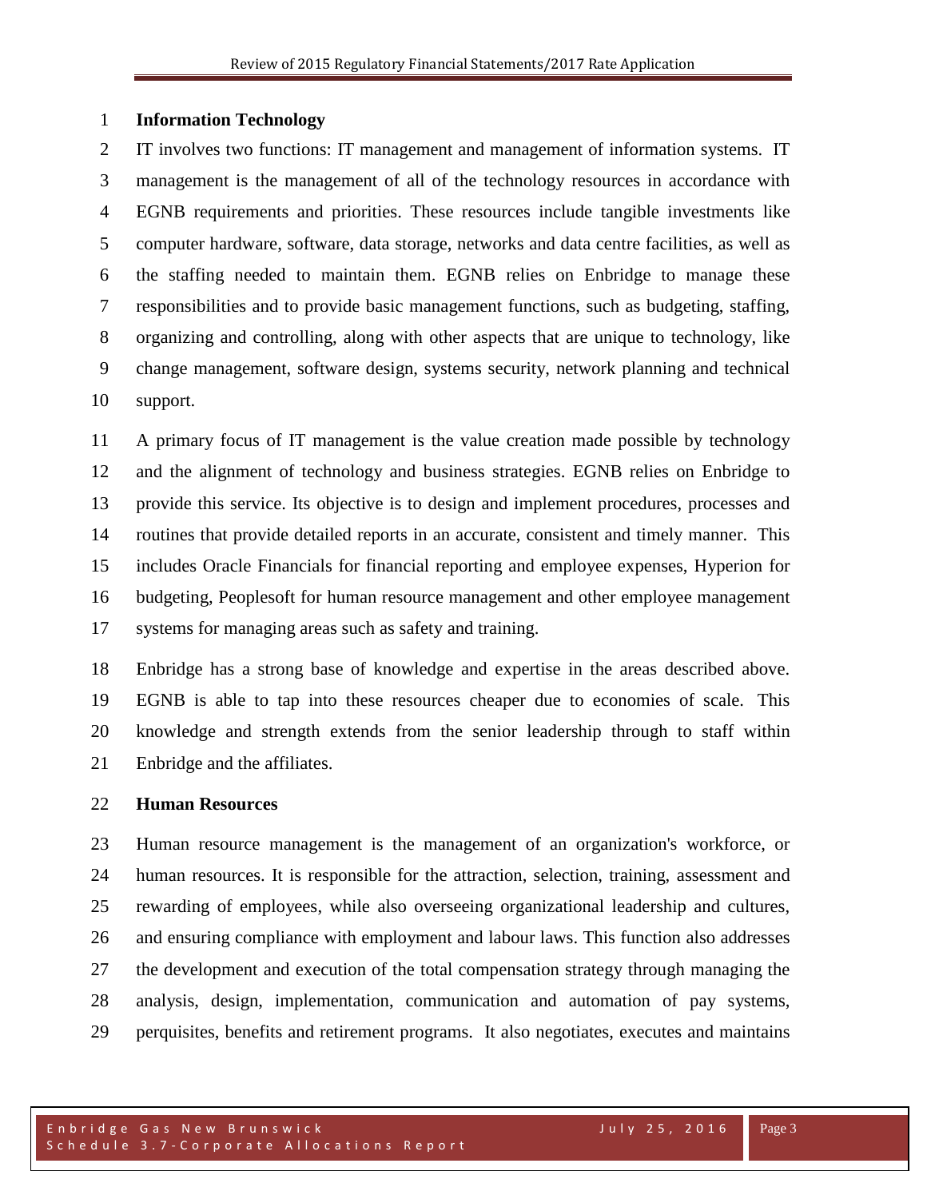#### **Information Technology**

 IT involves two functions: IT management and management of information systems. IT management is the management of all of the technology resources in accordance with EGNB requirements and priorities. These resources include tangible investments like computer hardware, software, data storage, networks and data centre facilities, as well as the staffing needed to maintain them. EGNB relies on Enbridge to manage these responsibilities and to provide basic management functions, such as [budgeting,](http://en.wikipedia.org/wiki/Budget) staffing, organizing and controlling, along with other aspects that are unique to technology, like change management, [software design,](http://en.wikipedia.org/wiki/Software_design) systems security, network planning and technical support.

 A primary focus of IT management is the value creation made possible by technology and the alignment of technology and business strategies. EGNB relies on Enbridge to provide this service. Its [objective](http://www.businessdictionary.com/definition/objective.html) is to [design](http://www.businessdictionary.com/definition/design.html) and implement [procedures,](http://www.businessdictionary.com/definition/procedure.html) processes and [routines](http://www.businessdictionary.com/definition/routine.html) that [provide](http://www.businessdictionary.com/definition/provide.html) [detailed](http://www.businessdictionary.com/definition/detailed.html) [reports](http://www.businessdictionary.com/definition/report.html) in an [accurate,](http://www.businessdictionary.com/definition/accurate.html) [consistent](http://www.businessdictionary.com/definition/consistent.html) and timely manner. This includes Oracle Financials for financial reporting and employee expenses, Hyperion for budgeting, Peoplesoft for human resource management and other employee management systems for managing areas such as safety and training.

 Enbridge has a strong base of knowledge and expertise in the areas described above. EGNB is able to tap into these resources cheaper due to economies of scale. This knowledge and strength extends from the senior leadership through to staff within Enbridge and the affiliates.

#### **Human Resources**

 Human resource management is the [management](http://en.wikipedia.org/wiki/Management) of an [organization's](http://en.wikipedia.org/wiki/Organization) [workforce,](http://en.wikipedia.org/wiki/Workforce) or [human resources.](http://en.wikipedia.org/wiki/Human_resources) It is responsible for the [attraction,](http://en.wikipedia.org/wiki/Employer_branding) [selection,](http://en.wikipedia.org/wiki/Recruitment) [training,](http://en.wikipedia.org/wiki/Training_and_development) [assessment](http://en.wikipedia.org/wiki/Performance_appraisal) and [rewarding](http://en.wikipedia.org/wiki/Remuneration) of employees, while also overseeing organizational [leadership](http://en.wikipedia.org/wiki/Leadership) and [cultures](http://en.wikipedia.org/wiki/Organizational_culture), and ensuring compliance with [employment and labour laws.](http://en.wikipedia.org/wiki/Labour_law) This function also addresses the development and execution of the total compensation strategy through managing the analysis, design, implementation, communication and automation of pay systems, perquisites, benefits and retirement programs. It also negotiates, executes and maintains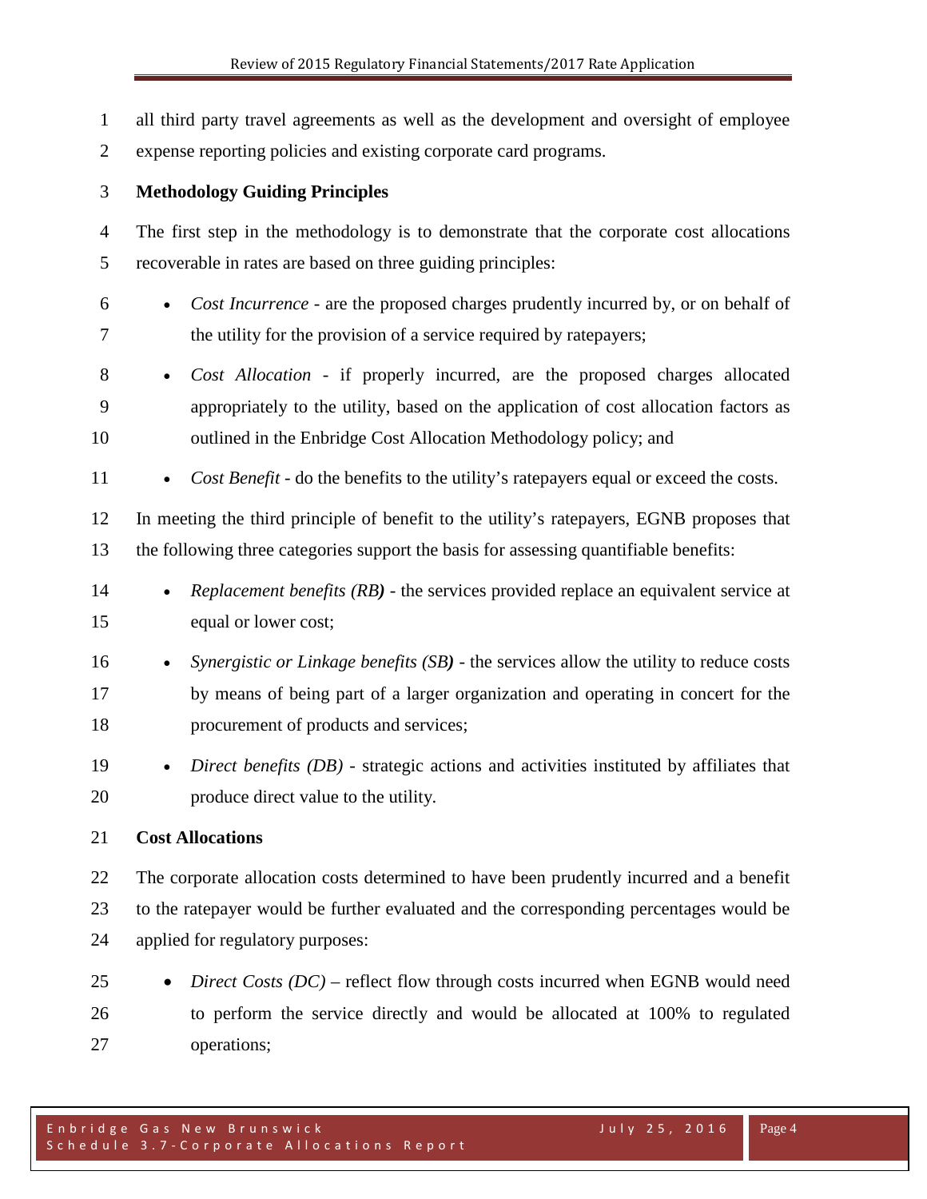all third party travel agreements as well as the development and oversight of employee expense reporting policies and existing corporate card programs. **Methodology Guiding Principles** The first step in the methodology is to demonstrate that the corporate cost allocations recoverable in rates are based on three guiding principles: • *Cost Incurrence* - are the proposed charges prudently incurred by, or on behalf of the utility for the provision of a service required by ratepayers; • *Cost Allocation* - if properly incurred, are the proposed charges allocated appropriately to the utility, based on the application of cost allocation factors as outlined in the Enbridge Cost Allocation Methodology policy; and 11 • *Cost Benefit* - do the benefits to the utility's ratepayers equal or exceed the costs. In meeting the third principle of benefit to the utility's ratepayers, EGNB proposes that the following three categories support the basis for assessing quantifiable benefits: • *Replacement benefits (RB)* - the services provided replace an equivalent service at equal or lower cost; • *Synergistic or Linkage benefits (SB)* - the services allow the utility to reduce costs by means of being part of a larger organization and operating in concert for the procurement of products and services; • *Direct benefits (DB)* - strategic actions and activities instituted by affiliates that produce direct value to the utility. **Cost Allocations** The corporate allocation costs determined to have been prudently incurred and a benefit to the ratepayer would be further evaluated and the corresponding percentages would be applied for regulatory purposes: • *Direct Costs (DC)* – reflect flow through costs incurred when EGNB would need

 to perform the service directly and would be allocated at 100% to regulated operations;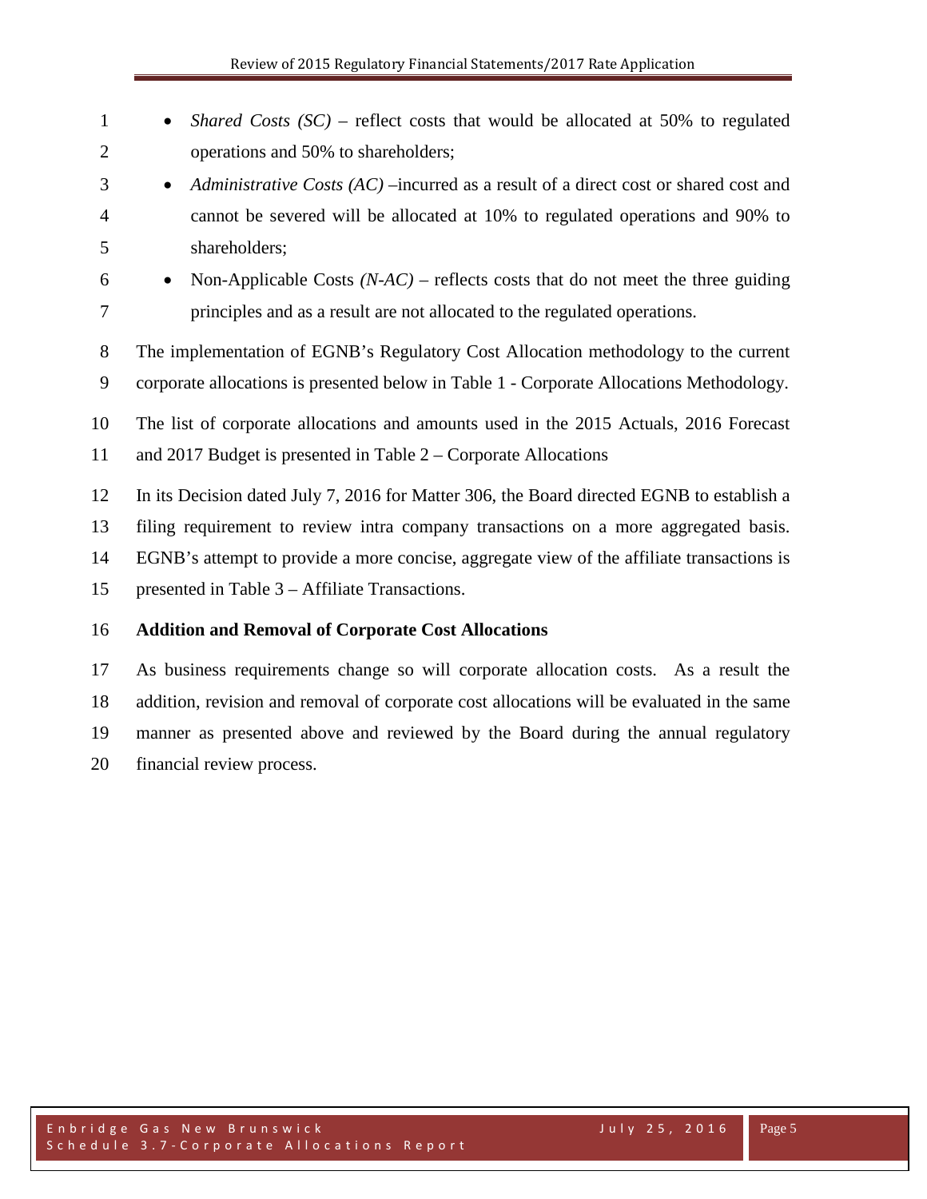| $\mathbf{1}$   | <i>Shared Costs (SC)</i> – reflect costs that would be allocated at 50% to regulated<br>$\bullet$ |
|----------------|---------------------------------------------------------------------------------------------------|
| $\overline{2}$ | operations and 50% to shareholders;                                                               |
| 3              | Administrative Costs (AC) --incurred as a result of a direct cost or shared cost and<br>$\bullet$ |
| $\overline{4}$ | cannot be severed will be allocated at 10% to regulated operations and 90% to                     |
| 5              | shareholders;                                                                                     |
| 6              | Non-Applicable Costs $(N-AC)$ – reflects costs that do not meet the three guiding<br>$\bullet$    |
| 7              | principles and as a result are not allocated to the regulated operations.                         |
| 8              | The implementation of EGNB's Regulatory Cost Allocation methodology to the current                |
| 9              | corporate allocations is presented below in Table 1 - Corporate Allocations Methodology.          |
| 10             | The list of corporate allocations and amounts used in the 2015 Actuals, 2016 Forecast             |
| 11             | and 2017 Budget is presented in Table $2 -$ Corporate Allocations                                 |
| 12             | In its Decision dated July 7, 2016 for Matter 306, the Board directed EGNB to establish a         |
| 13             | filing requirement to review intra company transactions on a more aggregated basis.               |
| 14             | EGNB's attempt to provide a more concise, aggregate view of the affiliate transactions is         |
| 15             | presented in Table 3 – Affiliate Transactions.                                                    |
| 16             | <b>Addition and Removal of Corporate Cost Allocations</b>                                         |
|                |                                                                                                   |

 As business requirements change so will corporate allocation costs. As a result the addition, revision and removal of corporate cost allocations will be evaluated in the same manner as presented above and reviewed by the Board during the annual regulatory financial review process.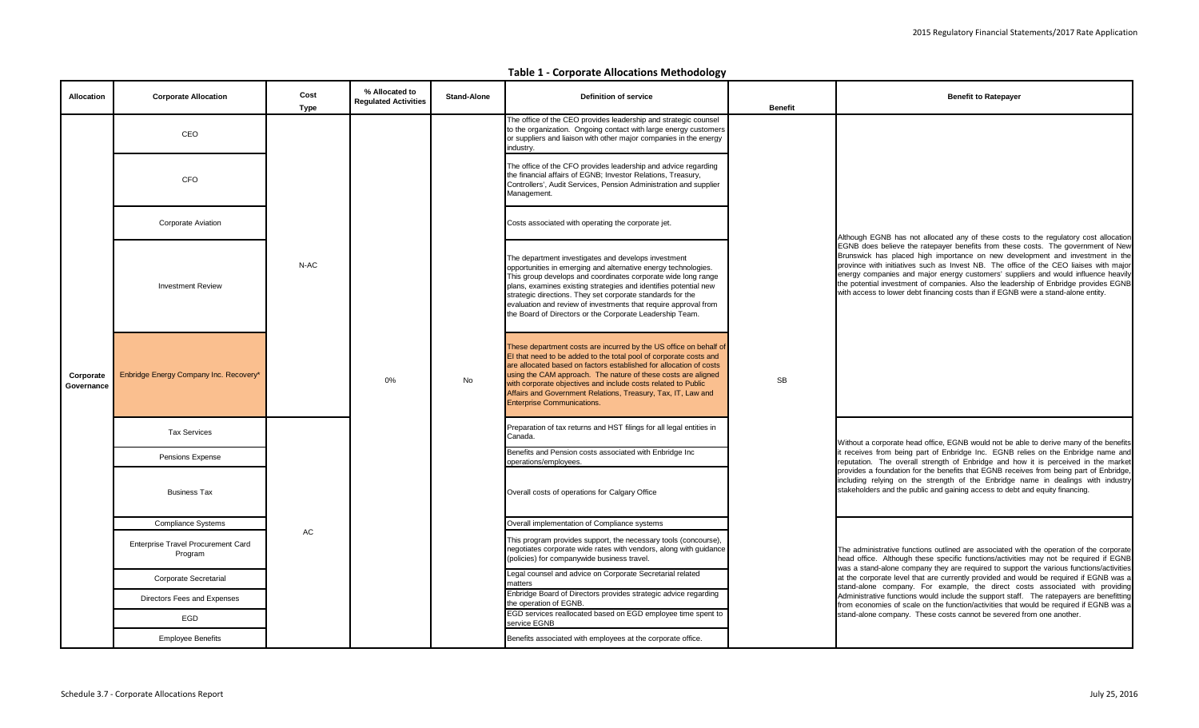#### **Table 1 - Corporate Allocations Methodology**

| <b>Allocation</b>       | <b>Corporate Allocation</b>                          | Cost<br>Type | % Allocated to<br><b>Regulated Activities</b> | <b>Stand-Alone</b> | <b>Definition of service</b>                                                                                                                                                                                                                                                                                                                                                                                                                            | <b>Benefit</b> | <b>Benefit to Ratepayer</b>                                                                                                                                                                                                                                                                                                                                                                                                                                                                                                   |
|-------------------------|------------------------------------------------------|--------------|-----------------------------------------------|--------------------|---------------------------------------------------------------------------------------------------------------------------------------------------------------------------------------------------------------------------------------------------------------------------------------------------------------------------------------------------------------------------------------------------------------------------------------------------------|----------------|-------------------------------------------------------------------------------------------------------------------------------------------------------------------------------------------------------------------------------------------------------------------------------------------------------------------------------------------------------------------------------------------------------------------------------------------------------------------------------------------------------------------------------|
|                         | CEO                                                  |              |                                               |                    | The office of the CEO provides leadership and strategic counsel<br>to the organization. Ongoing contact with large energy customers<br>or suppliers and liaison with other major companies in the energy<br>industry.                                                                                                                                                                                                                                   |                |                                                                                                                                                                                                                                                                                                                                                                                                                                                                                                                               |
|                         | <b>CFO</b>                                           |              |                                               |                    | The office of the CFO provides leadership and advice regarding<br>the financial affairs of EGNB; Investor Relations, Treasury,<br>Controllers', Audit Services, Pension Administration and supplier<br>Management.                                                                                                                                                                                                                                      |                |                                                                                                                                                                                                                                                                                                                                                                                                                                                                                                                               |
|                         | <b>Corporate Aviation</b>                            |              |                                               |                    | Costs associated with operating the corporate jet.                                                                                                                                                                                                                                                                                                                                                                                                      |                | Although EGNB has not allocated any of these costs to the regulatory cost allocation                                                                                                                                                                                                                                                                                                                                                                                                                                          |
|                         | <b>Investment Review</b>                             | N-AC         |                                               |                    | The department investigates and develops investment<br>opportunities in emerging and alternative energy technologies.<br>This group develops and coordinates corporate wide long range<br>plans, examines existing strategies and identifies potential new<br>strategic directions. They set corporate standards for the<br>evaluation and review of investments that require approval from<br>the Board of Directors or the Corporate Leadership Team. |                | EGNB does believe the ratepayer benefits from these costs. The government of New<br>Brunswick has placed high importance on new development and investment in the<br>province with initiatives such as Invest NB. The office of the CEO liaises with major<br>energy companies and major energy customers' suppliers and would influence heavily<br>the potential investment of companies. Also the leadership of Enbridge provides EGNB<br>with access to lower debt financing costs than if EGNB were a stand-alone entity. |
| Corporate<br>Governance | Enbridge Energy Company Inc. Recovery*               |              | 0%                                            | <b>No</b>          | These department costs are incurred by the US office on behalf of<br>El that need to be added to the total pool of corporate costs and<br>are allocated based on factors established for allocation of costs<br>using the CAM approach. The nature of these costs are aligned<br>with corporate objectives and include costs related to Public<br>Affairs and Government Relations, Treasury, Tax, IT, Law and<br><b>Enterprise Communications.</b>     | <b>SB</b>      |                                                                                                                                                                                                                                                                                                                                                                                                                                                                                                                               |
|                         | <b>Tax Services</b>                                  |              |                                               |                    | Preparation of tax returns and HST filings for all legal entities in<br>Canada.                                                                                                                                                                                                                                                                                                                                                                         |                | Without a corporate head office, EGNB would not be able to derive many of the benefits                                                                                                                                                                                                                                                                                                                                                                                                                                        |
|                         | Pensions Expense                                     |              |                                               |                    | Benefits and Pension costs associated with Enbridge Inc<br>operations/employees.                                                                                                                                                                                                                                                                                                                                                                        |                | it receives from being part of Enbridge Inc. EGNB relies on the Enbridge name and<br>reputation. The overall strength of Enbridge and how it is perceived in the market                                                                                                                                                                                                                                                                                                                                                       |
|                         | <b>Business Tax</b>                                  |              |                                               |                    | Overall costs of operations for Calgary Office                                                                                                                                                                                                                                                                                                                                                                                                          |                | provides a foundation for the benefits that EGNB receives from being part of Enbridge,<br>including relying on the strength of the Enbridge name in dealings with industry<br>stakeholders and the public and gaining access to debt and equity financing.                                                                                                                                                                                                                                                                    |
|                         | <b>Compliance Systems</b>                            |              |                                               |                    | Overall implementation of Compliance systems                                                                                                                                                                                                                                                                                                                                                                                                            |                |                                                                                                                                                                                                                                                                                                                                                                                                                                                                                                                               |
|                         | <b>Enterprise Travel Procurement Card</b><br>Program | AC           |                                               |                    | This program provides support, the necessary tools (concourse).<br>negotiates corporate wide rates with vendors, along with guidance<br>(policies) for companywide business travel.                                                                                                                                                                                                                                                                     |                | The administrative functions outlined are associated with the operation of the corporate<br>head office. Although these specific functions/activities may not be required if EGNB                                                                                                                                                                                                                                                                                                                                             |
|                         | Corporate Secretarial                                |              |                                               |                    | Legal counsel and advice on Corporate Secretarial related<br>matters                                                                                                                                                                                                                                                                                                                                                                                    |                | was a stand-alone company they are required to support the various functions/activities<br>at the corporate level that are currently provided and would be required if EGNB was a                                                                                                                                                                                                                                                                                                                                             |
|                         | Directors Fees and Expenses                          |              |                                               |                    | Enbridge Board of Directors provides strategic advice regarding<br>the operation of EGNB.                                                                                                                                                                                                                                                                                                                                                               |                | stand-alone company. For example, the direct costs associated with providing<br>Administrative functions would include the support staff.  The ratepayers are benefitting<br>from economies of scale on the function/activities that would be required if EGNB was a                                                                                                                                                                                                                                                          |
|                         | EGD                                                  |              |                                               |                    | EGD services reallocated based on EGD employee time spent to<br>service EGNB                                                                                                                                                                                                                                                                                                                                                                            |                | stand-alone company. These costs cannot be severed from one another.                                                                                                                                                                                                                                                                                                                                                                                                                                                          |
|                         | <b>Employee Benefits</b>                             |              |                                               |                    | Benefits associated with employees at the corporate office.                                                                                                                                                                                                                                                                                                                                                                                             |                |                                                                                                                                                                                                                                                                                                                                                                                                                                                                                                                               |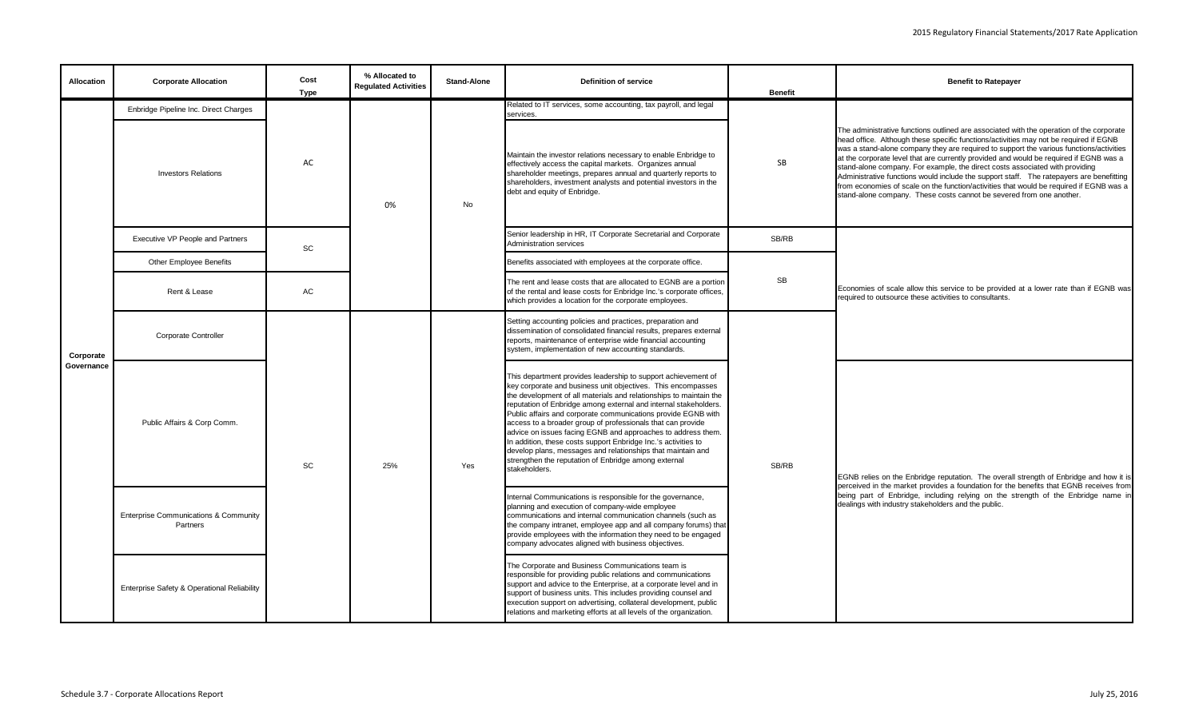| <b>Allocation</b> | <b>Corporate Allocation</b>                                  | Cost<br><b>Type</b> | % Allocated to<br><b>Requlated Activities</b> | <b>Stand-Alone</b> | <b>Definition of service</b>                                                                                                                                                                                                                                                                                                                                                                                                                                                                                                                                                                                                                                                      | <b>Benefit</b> | <b>Benefit to Ratepayer</b>                                                                                                                                                                                                                                                                                                                                                                                                                                                                                                                                                                                                                                                                                           |
|-------------------|--------------------------------------------------------------|---------------------|-----------------------------------------------|--------------------|-----------------------------------------------------------------------------------------------------------------------------------------------------------------------------------------------------------------------------------------------------------------------------------------------------------------------------------------------------------------------------------------------------------------------------------------------------------------------------------------------------------------------------------------------------------------------------------------------------------------------------------------------------------------------------------|----------------|-----------------------------------------------------------------------------------------------------------------------------------------------------------------------------------------------------------------------------------------------------------------------------------------------------------------------------------------------------------------------------------------------------------------------------------------------------------------------------------------------------------------------------------------------------------------------------------------------------------------------------------------------------------------------------------------------------------------------|
|                   | Enbridge Pipeline Inc. Direct Charges                        |                     |                                               |                    | Related to IT services, some accounting, tax payroll, and legal<br>services.                                                                                                                                                                                                                                                                                                                                                                                                                                                                                                                                                                                                      |                |                                                                                                                                                                                                                                                                                                                                                                                                                                                                                                                                                                                                                                                                                                                       |
|                   | <b>Investors Relations</b>                                   | AC                  | 0%                                            | No                 | Maintain the investor relations necessary to enable Enbridge to<br>effectively access the capital markets. Organizes annual<br>shareholder meetings, prepares annual and quarterly reports to<br>shareholders, investment analysts and potential investors in the<br>debt and equity of Enbridge.                                                                                                                                                                                                                                                                                                                                                                                 | SB             | The administrative functions outlined are associated with the operation of the corporate<br>head office. Although these specific functions/activities may not be required if EGNB<br>was a stand-alone company they are required to support the various functions/activities<br>at the corporate level that are currently provided and would be required if EGNB was a<br>stand-alone company. For example, the direct costs associated with providing<br>Administrative functions would include the support staff. The ratepayers are benefitting<br>from economies of scale on the function/activities that would be required if EGNB was a<br>stand-alone company. These costs cannot be severed from one another. |
|                   | Executive VP People and Partners                             | SC                  |                                               |                    | Senior leadership in HR, IT Corporate Secretarial and Corporate<br>Administration services                                                                                                                                                                                                                                                                                                                                                                                                                                                                                                                                                                                        | SB/RB          |                                                                                                                                                                                                                                                                                                                                                                                                                                                                                                                                                                                                                                                                                                                       |
|                   | Other Employee Benefits                                      |                     |                                               |                    | Benefits associated with employees at the corporate office.                                                                                                                                                                                                                                                                                                                                                                                                                                                                                                                                                                                                                       |                |                                                                                                                                                                                                                                                                                                                                                                                                                                                                                                                                                                                                                                                                                                                       |
|                   | Rent & Lease                                                 | AC                  |                                               |                    | The rent and lease costs that are allocated to EGNB are a portion<br>of the rental and lease costs for Enbridge Inc.'s corporate offices,<br>which provides a location for the corporate employees.                                                                                                                                                                                                                                                                                                                                                                                                                                                                               | SB             | Economies of scale allow this service to be provided at a lower rate than if EGNB was<br>required to outsource these activities to consultants.                                                                                                                                                                                                                                                                                                                                                                                                                                                                                                                                                                       |
| Corporate         | <b>Corporate Controller</b>                                  |                     |                                               |                    | Setting accounting policies and practices, preparation and<br>dissemination of consolidated financial results, prepares external<br>reports, maintenance of enterprise wide financial accounting<br>system, implementation of new accounting standards.                                                                                                                                                                                                                                                                                                                                                                                                                           |                |                                                                                                                                                                                                                                                                                                                                                                                                                                                                                                                                                                                                                                                                                                                       |
| Governance        | Public Affairs & Corp Comm.                                  | SC                  | 25%                                           | Yes                | This department provides leadership to support achievement of<br>key corporate and business unit objectives. This encompasses<br>the development of all materials and relationships to maintain the<br>reputation of Enbridge among external and internal stakeholders.<br>Public affairs and corporate communications provide EGNB with<br>access to a broader group of professionals that can provide<br>advice on issues facing EGNB and approaches to address them.<br>In addition, these costs support Enbridge Inc.'s activities to<br>develop plans, messages and relationships that maintain and<br>strengthen the reputation of Enbridge among external<br>stakeholders. | SB/RB          | EGNB relies on the Enbridge reputation. The overall strength of Enbridge and how it is                                                                                                                                                                                                                                                                                                                                                                                                                                                                                                                                                                                                                                |
|                   | <b>Enterprise Communications &amp; Community</b><br>Partners |                     |                                               |                    | Internal Communications is responsible for the governance,<br>planning and execution of company-wide employee<br>communications and internal communication channels (such as<br>the company intranet, employee app and all company forums) that<br>provide employees with the information they need to be engaged<br>company advocates aligned with business objectives.                                                                                                                                                                                                                                                                                                          |                | perceived in the market provides a foundation for the benefits that EGNB receives from<br>being part of Enbridge, including relying on the strength of the Enbridge name in<br>dealings with industry stakeholders and the public.                                                                                                                                                                                                                                                                                                                                                                                                                                                                                    |
|                   | Enterprise Safety & Operational Reliability                  |                     |                                               |                    | The Corporate and Business Communications team is<br>responsible for providing public relations and communications<br>support and advice to the Enterprise, at a corporate level and in<br>support of business units. This includes providing counsel and<br>execution support on advertising, collateral development, public<br>relations and marketing efforts at all levels of the organization.                                                                                                                                                                                                                                                                               |                |                                                                                                                                                                                                                                                                                                                                                                                                                                                                                                                                                                                                                                                                                                                       |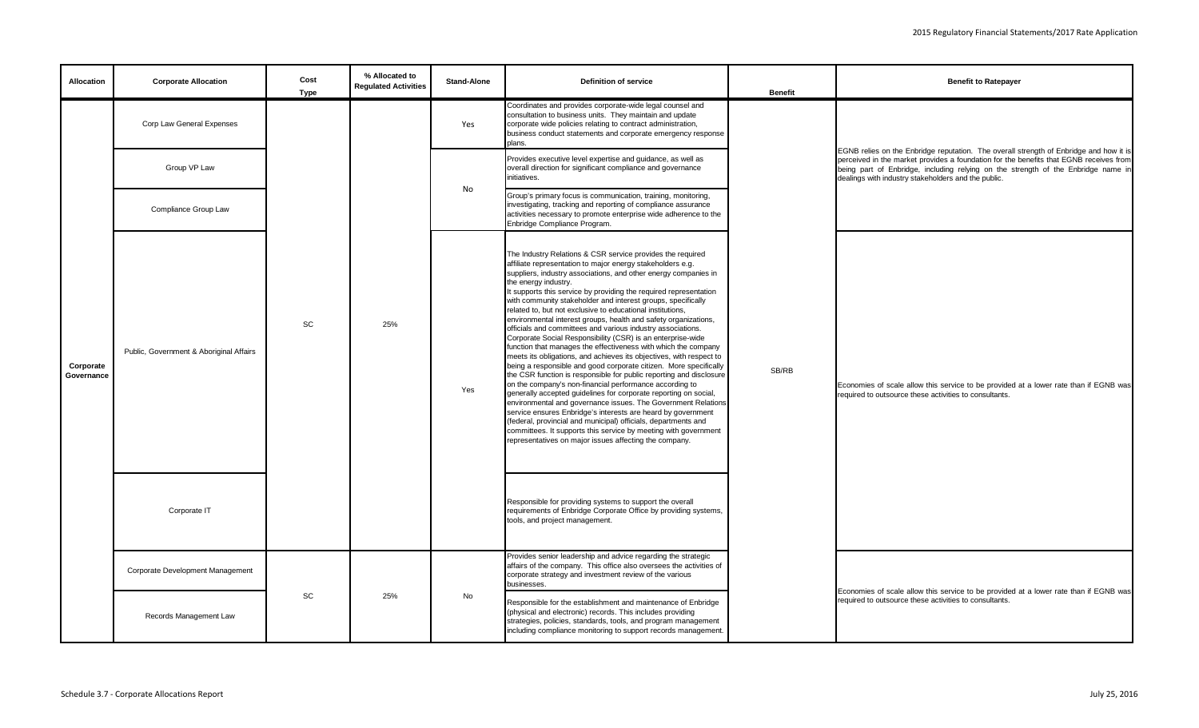| Allocation              | <b>Corporate Allocation</b>             | Cost<br><b>Type</b> | % Allocated to<br><b>Regulated Activities</b> | <b>Stand-Alone</b> | Definition of service                                                                                                                                                                                                                                                                                                                                                                                                                                                                                                                                                                                                                                                                                                                                                                                                                                                                                                                                                                                                                                                                                                                                                                                                                                                                                                                                                       | <b>Benefit</b> | <b>Benefit to Ratepayer</b>                                                                                                                                                                                                                                                                                                  |
|-------------------------|-----------------------------------------|---------------------|-----------------------------------------------|--------------------|-----------------------------------------------------------------------------------------------------------------------------------------------------------------------------------------------------------------------------------------------------------------------------------------------------------------------------------------------------------------------------------------------------------------------------------------------------------------------------------------------------------------------------------------------------------------------------------------------------------------------------------------------------------------------------------------------------------------------------------------------------------------------------------------------------------------------------------------------------------------------------------------------------------------------------------------------------------------------------------------------------------------------------------------------------------------------------------------------------------------------------------------------------------------------------------------------------------------------------------------------------------------------------------------------------------------------------------------------------------------------------|----------------|------------------------------------------------------------------------------------------------------------------------------------------------------------------------------------------------------------------------------------------------------------------------------------------------------------------------------|
|                         | Corp Law General Expenses               |                     |                                               | Yes                | Coordinates and provides corporate-wide legal counsel and<br>consultation to business units. They maintain and update<br>corporate wide policies relating to contract administration,<br>business conduct statements and corporate emergency response<br>plans.                                                                                                                                                                                                                                                                                                                                                                                                                                                                                                                                                                                                                                                                                                                                                                                                                                                                                                                                                                                                                                                                                                             |                |                                                                                                                                                                                                                                                                                                                              |
|                         | Group VP Law                            |                     |                                               |                    | Provides executive level expertise and guidance, as well as<br>overall direction for significant compliance and governance<br>initiatives.                                                                                                                                                                                                                                                                                                                                                                                                                                                                                                                                                                                                                                                                                                                                                                                                                                                                                                                                                                                                                                                                                                                                                                                                                                  |                | EGNB relies on the Enbridge reputation. The overall strength of Enbridge and how it is<br>perceived in the market provides a foundation for the benefits that EGNB receives from<br>being part of Enbridge, including relying on the strength of the Enbridge name in<br>dealings with industry stakeholders and the public. |
|                         | Compliance Group Law                    |                     |                                               | No                 | Group's primary focus is communication, training, monitoring,<br>investigating, tracking and reporting of compliance assurance<br>activities necessary to promote enterprise wide adherence to the<br>Enbridge Compliance Program.                                                                                                                                                                                                                                                                                                                                                                                                                                                                                                                                                                                                                                                                                                                                                                                                                                                                                                                                                                                                                                                                                                                                          |                |                                                                                                                                                                                                                                                                                                                              |
| Corporate<br>Governance | Public, Government & Aboriginal Affairs | SC                  | 25%                                           | Yes                | The Industry Relations & CSR service provides the required<br>affiliate representation to major energy stakeholders e.g.<br>suppliers, industry associations, and other energy companies in<br>the energy industry.<br>It supports this service by providing the required representation<br>with community stakeholder and interest groups, specifically<br>related to, but not exclusive to educational institutions,<br>environmental interest groups, health and safety organizations,<br>officials and committees and various industry associations.<br>Corporate Social Responsibility (CSR) is an enterprise-wide<br>function that manages the effectiveness with which the company<br>meets its obligations, and achieves its objectives, with respect to<br>being a responsible and good corporate citizen. More specifically<br>the CSR function is responsible for public reporting and disclosure<br>on the company's non-financial performance according to<br>generally accepted guidelines for corporate reporting on social,<br>environmental and governance issues. The Government Relations<br>service ensures Enbridge's interests are heard by government<br>(federal, provincial and municipal) officials, departments and<br>committees. It supports this service by meeting with government<br>representatives on major issues affecting the company. | SB/RB          | Economies of scale allow this service to be provided at a lower rate than if EGNB was<br>equired to outsource these activities to consultants.                                                                                                                                                                               |
|                         | Corporate IT                            |                     |                                               |                    | Responsible for providing systems to support the overall<br>requirements of Enbridge Corporate Office by providing systems,<br>tools, and project management.                                                                                                                                                                                                                                                                                                                                                                                                                                                                                                                                                                                                                                                                                                                                                                                                                                                                                                                                                                                                                                                                                                                                                                                                               |                |                                                                                                                                                                                                                                                                                                                              |
|                         | Corporate Development Management        |                     |                                               |                    | Provides senior leadership and advice regarding the strategic<br>affairs of the company. This office also oversees the activities of<br>corporate strategy and investment review of the various<br>businesses.                                                                                                                                                                                                                                                                                                                                                                                                                                                                                                                                                                                                                                                                                                                                                                                                                                                                                                                                                                                                                                                                                                                                                              |                |                                                                                                                                                                                                                                                                                                                              |
|                         | Records Management Law                  | SC                  | 25%                                           | No                 | Responsible for the establishment and maintenance of Enbridge<br>(physical and electronic) records. This includes providing<br>strategies, policies, standards, tools, and program management<br>including compliance monitoring to support records management.                                                                                                                                                                                                                                                                                                                                                                                                                                                                                                                                                                                                                                                                                                                                                                                                                                                                                                                                                                                                                                                                                                             |                | Economies of scale allow this service to be provided at a lower rate than if EGNB was<br>required to outsource these activities to consultants.                                                                                                                                                                              |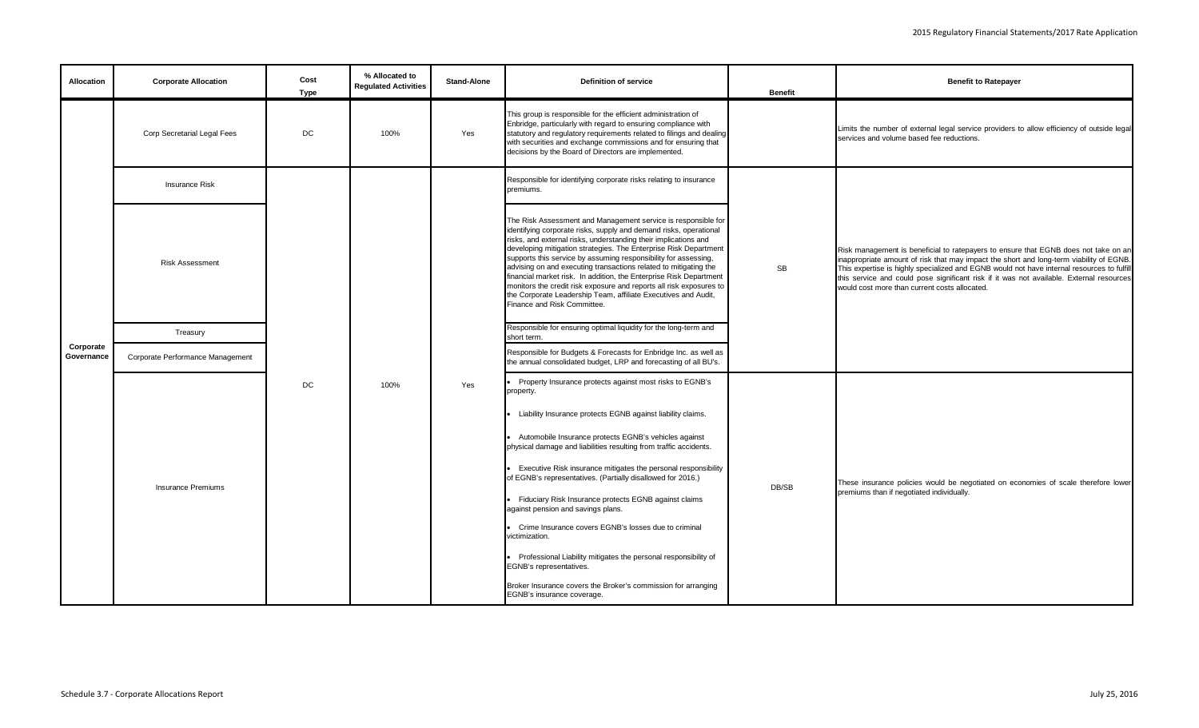| <b>Allocation</b>       | <b>Corporate Allocation</b>        | Cost<br>Type | % Allocated to<br><b>Regulated Activities</b> | <b>Stand-Alone</b> | <b>Definition of service</b>                                                                                                                                                                                                                                                                                                                                                                                                                                                                                                                                                                                                                                   | <b>Benefit</b> | <b>Benefit to Ratepayer</b>                                                                                                                                                                                                                                                                                                                                                                                               |
|-------------------------|------------------------------------|--------------|-----------------------------------------------|--------------------|----------------------------------------------------------------------------------------------------------------------------------------------------------------------------------------------------------------------------------------------------------------------------------------------------------------------------------------------------------------------------------------------------------------------------------------------------------------------------------------------------------------------------------------------------------------------------------------------------------------------------------------------------------------|----------------|---------------------------------------------------------------------------------------------------------------------------------------------------------------------------------------------------------------------------------------------------------------------------------------------------------------------------------------------------------------------------------------------------------------------------|
|                         | <b>Corp Secretarial Legal Fees</b> | DC           | 100%                                          | Yes                | This group is responsible for the efficient administration of<br>Enbridge, particularly with regard to ensuring compliance with<br>statutory and regulatory requirements related to filings and dealing<br>with securities and exchange commissions and for ensuring that<br>decisions by the Board of Directors are implemented.                                                                                                                                                                                                                                                                                                                              |                | Limits the number of external legal service providers to allow efficiency of outside legal<br>services and volume based fee reductions.                                                                                                                                                                                                                                                                                   |
|                         | <b>Insurance Risk</b>              |              |                                               |                    | Responsible for identifying corporate risks relating to insurance<br>premiums.                                                                                                                                                                                                                                                                                                                                                                                                                                                                                                                                                                                 |                |                                                                                                                                                                                                                                                                                                                                                                                                                           |
|                         | <b>Risk Assessment</b>             |              |                                               |                    | The Risk Assessment and Management service is responsible for<br>identifying corporate risks, supply and demand risks, operational<br>risks, and external risks, understanding their implications and<br>developing mitigation strategies. The Enterprise Risk Department<br>supports this service by assuming responsibility for assessing,<br>advising on and executing transactions related to mitigating the<br>financial market risk. In addition, the Enterprise Risk Department<br>monitors the credit risk exposure and reports all risk exposures to<br>the Corporate Leadership Team, affiliate Executives and Audit,<br>Finance and Risk Committee. | SB             | Risk management is beneficial to ratepayers to ensure that EGNB does not take on an<br>inappropriate amount of risk that may impact the short and long-term viability of EGNB.<br>This expertise is highly specialized and EGNB would not have internal resources to fulfill<br>this service and could pose significant risk if it was not available. External resources<br>would cost more than current costs allocated. |
|                         | Treasury                           |              |                                               |                    | Responsible for ensuring optimal liquidity for the long-term and<br>short term.                                                                                                                                                                                                                                                                                                                                                                                                                                                                                                                                                                                |                |                                                                                                                                                                                                                                                                                                                                                                                                                           |
| Corporate<br>Governance | Corporate Performance Management   |              |                                               |                    | Responsible for Budgets & Forecasts for Enbridge Inc. as well as<br>the annual consolidated budget, LRP and forecasting of all BU's.                                                                                                                                                                                                                                                                                                                                                                                                                                                                                                                           |                |                                                                                                                                                                                                                                                                                                                                                                                                                           |
|                         |                                    | DC           | 100%                                          | Yes                | Property Insurance protects against most risks to EGNB's<br>property.                                                                                                                                                                                                                                                                                                                                                                                                                                                                                                                                                                                          |                |                                                                                                                                                                                                                                                                                                                                                                                                                           |
|                         |                                    |              |                                               |                    | Liability Insurance protects EGNB against liability claims.                                                                                                                                                                                                                                                                                                                                                                                                                                                                                                                                                                                                    |                |                                                                                                                                                                                                                                                                                                                                                                                                                           |
|                         |                                    |              |                                               |                    | Automobile Insurance protects EGNB's vehicles against<br>physical damage and liabilities resulting from traffic accidents.                                                                                                                                                                                                                                                                                                                                                                                                                                                                                                                                     |                |                                                                                                                                                                                                                                                                                                                                                                                                                           |
|                         | <b>Insurance Premiums</b>          |              |                                               |                    | Executive Risk insurance mitigates the personal responsibility<br>of EGNB's representatives. (Partially disallowed for 2016.)                                                                                                                                                                                                                                                                                                                                                                                                                                                                                                                                  | DB/SB          | These insurance policies would be negotiated on economies of scale therefore lower                                                                                                                                                                                                                                                                                                                                        |
|                         |                                    |              |                                               |                    | Fiduciary Risk Insurance protects EGNB against claims<br>against pension and savings plans.                                                                                                                                                                                                                                                                                                                                                                                                                                                                                                                                                                    |                | premiums than if negotiated individually.                                                                                                                                                                                                                                                                                                                                                                                 |
|                         |                                    |              |                                               |                    | Crime Insurance covers EGNB's losses due to criminal<br>victimization.                                                                                                                                                                                                                                                                                                                                                                                                                                                                                                                                                                                         |                |                                                                                                                                                                                                                                                                                                                                                                                                                           |
|                         |                                    |              |                                               |                    | Professional Liability mitigates the personal responsibility of<br>EGNB's representatives.                                                                                                                                                                                                                                                                                                                                                                                                                                                                                                                                                                     |                |                                                                                                                                                                                                                                                                                                                                                                                                                           |
|                         |                                    |              |                                               |                    | Broker Insurance covers the Broker's commission for arranging<br>EGNB's insurance coverage.                                                                                                                                                                                                                                                                                                                                                                                                                                                                                                                                                                    |                |                                                                                                                                                                                                                                                                                                                                                                                                                           |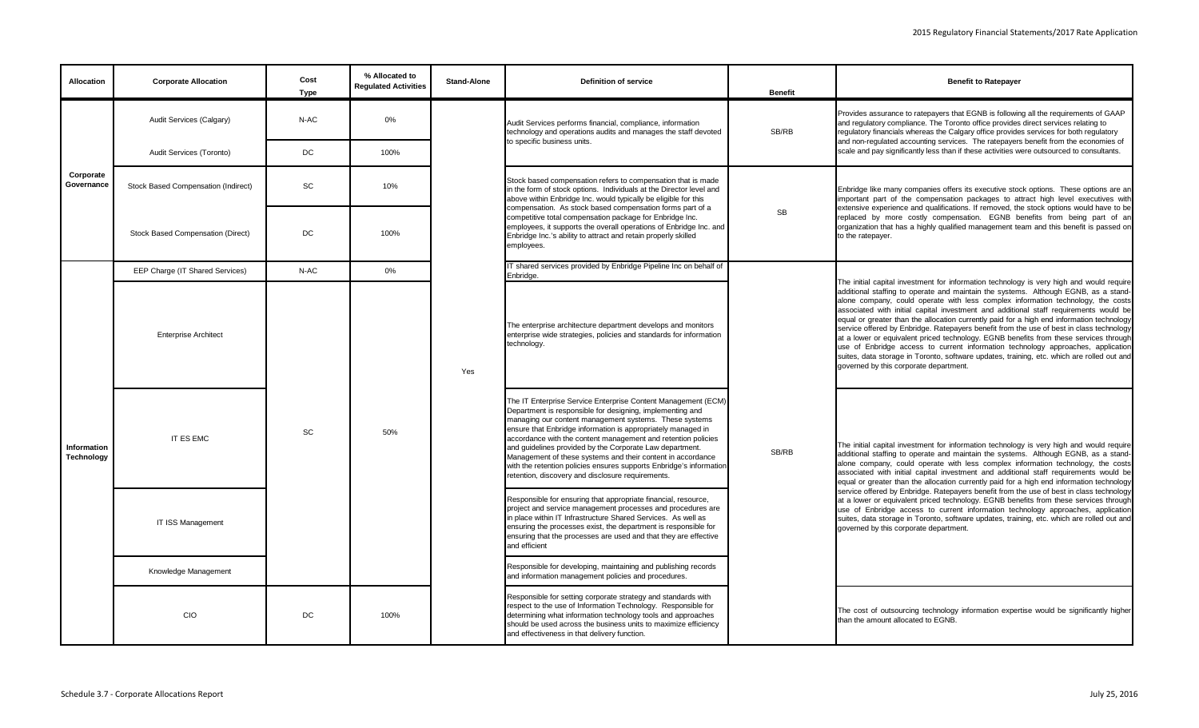| <b>Allocation</b>         | <b>Corporate Allocation</b>         | Cost<br><b>Type</b> | % Allocated to<br><b>Regulated Activities</b> | <b>Stand-Alone</b> | <b>Definition of service</b>                                                                                                                                                                                                                                                                                                                                                                                                                                                                                                                                                 | <b>Benefit</b> | <b>Benefit to Ratepayer</b>                                                                                                                                                                                                                                                                                                                                                                                                                                                                                                                                                                                                                                                                                                                                                                                                                                                |
|---------------------------|-------------------------------------|---------------------|-----------------------------------------------|--------------------|------------------------------------------------------------------------------------------------------------------------------------------------------------------------------------------------------------------------------------------------------------------------------------------------------------------------------------------------------------------------------------------------------------------------------------------------------------------------------------------------------------------------------------------------------------------------------|----------------|----------------------------------------------------------------------------------------------------------------------------------------------------------------------------------------------------------------------------------------------------------------------------------------------------------------------------------------------------------------------------------------------------------------------------------------------------------------------------------------------------------------------------------------------------------------------------------------------------------------------------------------------------------------------------------------------------------------------------------------------------------------------------------------------------------------------------------------------------------------------------|
|                           | Audit Services (Calgary)            | N-AC                | 0%                                            |                    | Audit Services performs financial, compliance, information<br>technology and operations audits and manages the staff devoted<br>to specific business units.                                                                                                                                                                                                                                                                                                                                                                                                                  | SB/RB          | Provides assurance to ratepayers that EGNB is following all the requirements of GAAP<br>and requlatory compliance. The Toronto office provides direct services relating to<br>regulatory financials whereas the Calgary office provides services for both regulatory<br>and non-regulated accounting services. The ratepayers benefit from the economies of                                                                                                                                                                                                                                                                                                                                                                                                                                                                                                                |
|                           | Audit Services (Toronto)            | <b>DC</b>           | 100%                                          |                    |                                                                                                                                                                                                                                                                                                                                                                                                                                                                                                                                                                              |                | scale and pay significantly less than if these activities were outsourced to consultants.                                                                                                                                                                                                                                                                                                                                                                                                                                                                                                                                                                                                                                                                                                                                                                                  |
| Corporate<br>Governance   | Stock Based Compensation (Indirect) | <b>SC</b>           | 10%                                           |                    | Stock based compensation refers to compensation that is made<br>in the form of stock options. Individuals at the Director level and<br>above within Enbridge Inc. would typically be eligible for this<br>compensation. As stock based compensation forms part of a                                                                                                                                                                                                                                                                                                          |                | Enbridge like many companies offers its executive stock options. These options are an<br>important part of the compensation packages to attract high level executives with<br>extensive experience and qualifications. If removed, the stock options would have to be                                                                                                                                                                                                                                                                                                                                                                                                                                                                                                                                                                                                      |
|                           | Stock Based Compensation (Direct)   | DC                  | 100%                                          |                    | competitive total compensation package for Enbridge Inc.<br>employees, it supports the overall operations of Enbridge Inc. and<br>Enbridge Inc.'s ability to attract and retain properly skilled<br>employees.                                                                                                                                                                                                                                                                                                                                                               | <b>SB</b>      | replaced by more costly compensation. EGNB benefits from being part of ar<br>organization that has a highly qualified management team and this benefit is passed on<br>to the ratepayer.                                                                                                                                                                                                                                                                                                                                                                                                                                                                                                                                                                                                                                                                                   |
|                           | EEP Charge (IT Shared Services)     | N-AC                | 0%                                            |                    | IT shared services provided by Enbridge Pipeline Inc on behalf of<br>Enbridge.                                                                                                                                                                                                                                                                                                                                                                                                                                                                                               |                |                                                                                                                                                                                                                                                                                                                                                                                                                                                                                                                                                                                                                                                                                                                                                                                                                                                                            |
|                           | <b>Enterprise Architect</b>         |                     |                                               | Yes                | The enterprise architecture department develops and monitors<br>enterprise wide strategies, policies and standards for information<br>technology.                                                                                                                                                                                                                                                                                                                                                                                                                            |                | The initial capital investment for information technology is very high and would require<br>additional staffing to operate and maintain the systems. Although EGNB, as a stand-<br>alone company, could operate with less complex information technology, the costs<br>associated with initial capital investment and additional staff requirements would be<br>equal or greater than the allocation currently paid for a high end information technology<br>service offered by Enbridge. Ratepayers benefit from the use of best in class technology<br>at a lower or equivalent priced technology. EGNB benefits from these services through<br>use of Enbridge access to current information technology approaches, application<br>suites, data storage in Toronto, software updates, training, etc. which are rolled out and<br>governed by this corporate department. |
| Information<br>Technology | IT ES EMC                           | <b>SC</b>           | 50%                                           |                    | The IT Enterprise Service Enterprise Content Management (ECM)<br>Department is responsible for designing, implementing and<br>managing our content management systems. These systems<br>ensure that Enbridge information is appropriately managed in<br>accordance with the content management and retention policies<br>and guidelines provided by the Corporate Law department.<br>Management of these systems and their content in accordance<br>with the retention policies ensures supports Enbridge's information<br>retention, discovery and disclosure requirements. | SB/RB          | The initial capital investment for information technology is very high and would require<br>additional staffing to operate and maintain the systems. Although EGNB, as a stand-<br>alone company, could operate with less complex information technology, the costs<br>associated with initial capital investment and additional staff requirements would be<br>equal or greater than the allocation currently paid for a high end information technology                                                                                                                                                                                                                                                                                                                                                                                                                  |
|                           | IT ISS Management                   |                     |                                               |                    | Responsible for ensuring that appropriate financial, resource,<br>project and service management processes and procedures are<br>in place within IT Infrastructure Shared Services. As well as<br>ensuring the processes exist, the department is responsible for<br>ensuring that the processes are used and that they are effective<br>and efficient                                                                                                                                                                                                                       |                | service offered by Enbridge. Ratepayers benefit from the use of best in class technology<br>at a lower or equivalent priced technology. EGNB benefits from these services through<br>use of Enbridge access to current information technology approaches, application<br>suites, data storage in Toronto, software updates, training, etc. which are rolled out and<br>governed by this corporate department.                                                                                                                                                                                                                                                                                                                                                                                                                                                              |
|                           | Knowledge Management                |                     |                                               |                    | Responsible for developing, maintaining and publishing records<br>and information management policies and procedures.                                                                                                                                                                                                                                                                                                                                                                                                                                                        |                |                                                                                                                                                                                                                                                                                                                                                                                                                                                                                                                                                                                                                                                                                                                                                                                                                                                                            |
|                           | <b>CIO</b>                          | <b>DC</b>           | 100%                                          |                    | Responsible for setting corporate strategy and standards with<br>respect to the use of Information Technology. Responsible for<br>determining what information technology tools and approaches<br>should be used across the business units to maximize efficiency<br>and effectiveness in that delivery function.                                                                                                                                                                                                                                                            |                | The cost of outsourcing technology information expertise would be significantly higher<br>than the amount allocated to EGNB.                                                                                                                                                                                                                                                                                                                                                                                                                                                                                                                                                                                                                                                                                                                                               |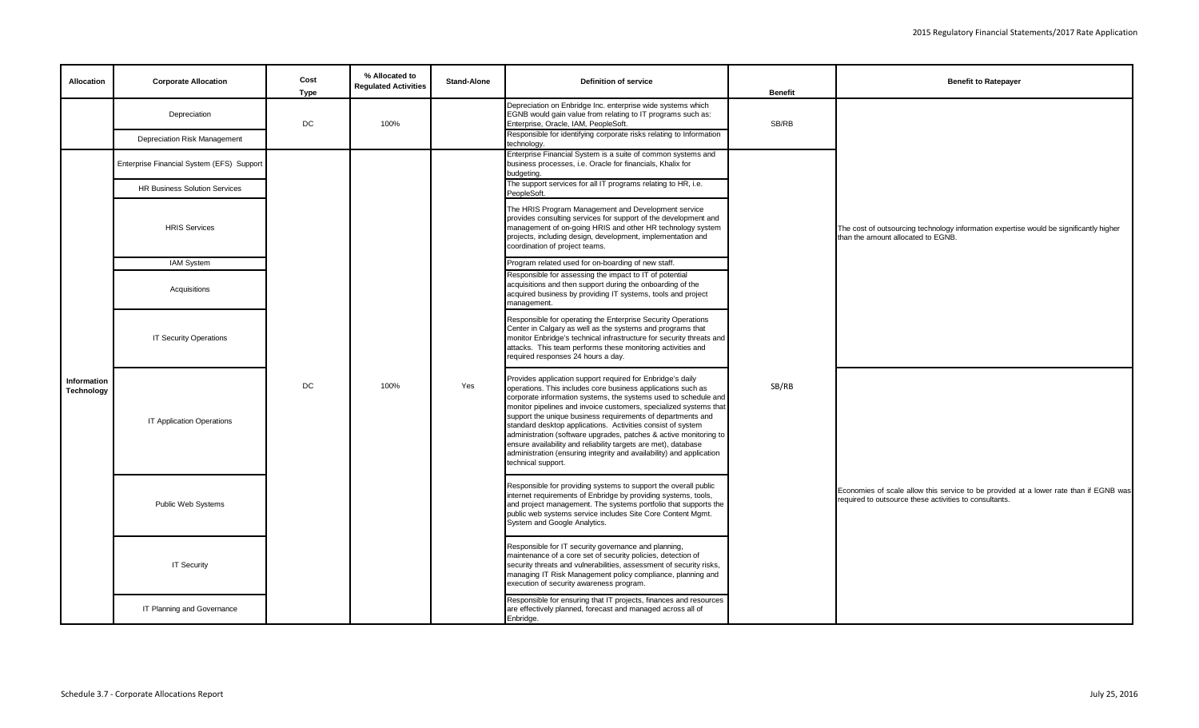| <b>Allocation</b>         | <b>Corporate Allocation</b>               | Cost              | % Allocated to<br><b>Regulated Activities</b> | <b>Stand-Alone</b> | <b>Definition of service</b>                                                                                                                                                                                                                                                                                                                                                                                                                                                                                                                                                                                                          | <b>Benefit</b> | <b>Benefit to Ratepayer</b>                                                                                                                     |
|---------------------------|-------------------------------------------|-------------------|-----------------------------------------------|--------------------|---------------------------------------------------------------------------------------------------------------------------------------------------------------------------------------------------------------------------------------------------------------------------------------------------------------------------------------------------------------------------------------------------------------------------------------------------------------------------------------------------------------------------------------------------------------------------------------------------------------------------------------|----------------|-------------------------------------------------------------------------------------------------------------------------------------------------|
|                           | Depreciation                              | <b>Type</b><br>DC | 100%                                          |                    | Depreciation on Enbridge Inc. enterprise wide systems which<br>EGNB would gain value from relating to IT programs such as:<br>Enterprise, Oracle, IAM, PeopleSoft.                                                                                                                                                                                                                                                                                                                                                                                                                                                                    | SB/RB          |                                                                                                                                                 |
|                           | Depreciation Risk Management              |                   |                                               |                    | Responsible for identifying corporate risks relating to Information<br>technology.                                                                                                                                                                                                                                                                                                                                                                                                                                                                                                                                                    |                |                                                                                                                                                 |
|                           | Enterprise Financial System (EFS) Support |                   |                                               |                    | Enterprise Financial System is a suite of common systems and<br>business processes, i.e. Oracle for financials, Khalix for<br>budgeting.                                                                                                                                                                                                                                                                                                                                                                                                                                                                                              |                |                                                                                                                                                 |
|                           | <b>HR Business Solution Services</b>      |                   |                                               |                    | The support services for all IT programs relating to HR, i.e.<br>PeopleSoft.                                                                                                                                                                                                                                                                                                                                                                                                                                                                                                                                                          |                |                                                                                                                                                 |
|                           | <b>HRIS Services</b>                      |                   |                                               |                    | The HRIS Program Management and Development service<br>provides consulting services for support of the development and<br>management of on-going HRIS and other HR technology system<br>projects, including design, development, implementation and<br>coordination of project teams.                                                                                                                                                                                                                                                                                                                                                 |                | The cost of outsourcing technology information expertise would be significantly higher<br>than the amount allocated to EGNB.                    |
|                           | <b>IAM System</b>                         |                   |                                               |                    | Program related used for on-boarding of new staff.                                                                                                                                                                                                                                                                                                                                                                                                                                                                                                                                                                                    |                |                                                                                                                                                 |
|                           | Acquisitions                              |                   |                                               |                    | Responsible for assessing the impact to IT of potential<br>acquisitions and then support during the onboarding of the<br>acquired business by providing IT systems, tools and project<br>management.                                                                                                                                                                                                                                                                                                                                                                                                                                  |                |                                                                                                                                                 |
|                           | <b>IT Security Operations</b>             |                   |                                               |                    | Responsible for operating the Enterprise Security Operations<br>Center in Calgary as well as the systems and programs that<br>monitor Enbridge's technical infrastructure for security threats and<br>attacks. This team performs these monitoring activities and<br>required responses 24 hours a day.                                                                                                                                                                                                                                                                                                                               |                |                                                                                                                                                 |
| Information<br>Technology | <b>IT Application Operations</b>          | DC                | 100%                                          | Yes                | Provides application support required for Enbridge's daily<br>operations. This includes core business applications such as<br>corporate information systems, the systems used to schedule and<br>monitor pipelines and invoice customers, specialized systems that<br>support the unique business requirements of departments and<br>standard desktop applications. Activities consist of system<br>administration (software upgrades, patches & active monitoring to<br>ensure availability and reliability targets are met), database<br>administration (ensuring integrity and availability) and application<br>technical support. | SB/RB          |                                                                                                                                                 |
|                           | Public Web Systems                        |                   |                                               |                    | Responsible for providing systems to support the overall public<br>internet requirements of Enbridge by providing systems, tools,<br>and project management. The systems portfolio that supports the<br>public web systems service includes Site Core Content Mgmt.<br>System and Google Analytics.                                                                                                                                                                                                                                                                                                                                   |                | Economies of scale allow this service to be provided at a lower rate than if EGNB was<br>required to outsource these activities to consultants. |
|                           | <b>IT Security</b>                        |                   |                                               |                    | Responsible for IT security governance and planning,<br>maintenance of a core set of security policies, detection of<br>security threats and vulnerabilities, assessment of security risks,<br>managing IT Risk Management policy compliance, planning and<br>execution of security awareness program.                                                                                                                                                                                                                                                                                                                                |                |                                                                                                                                                 |
|                           | IT Planning and Governance                |                   |                                               |                    | Responsible for ensuring that IT projects, finances and resources<br>are effectively planned, forecast and managed across all of<br>Enbridge.                                                                                                                                                                                                                                                                                                                                                                                                                                                                                         |                |                                                                                                                                                 |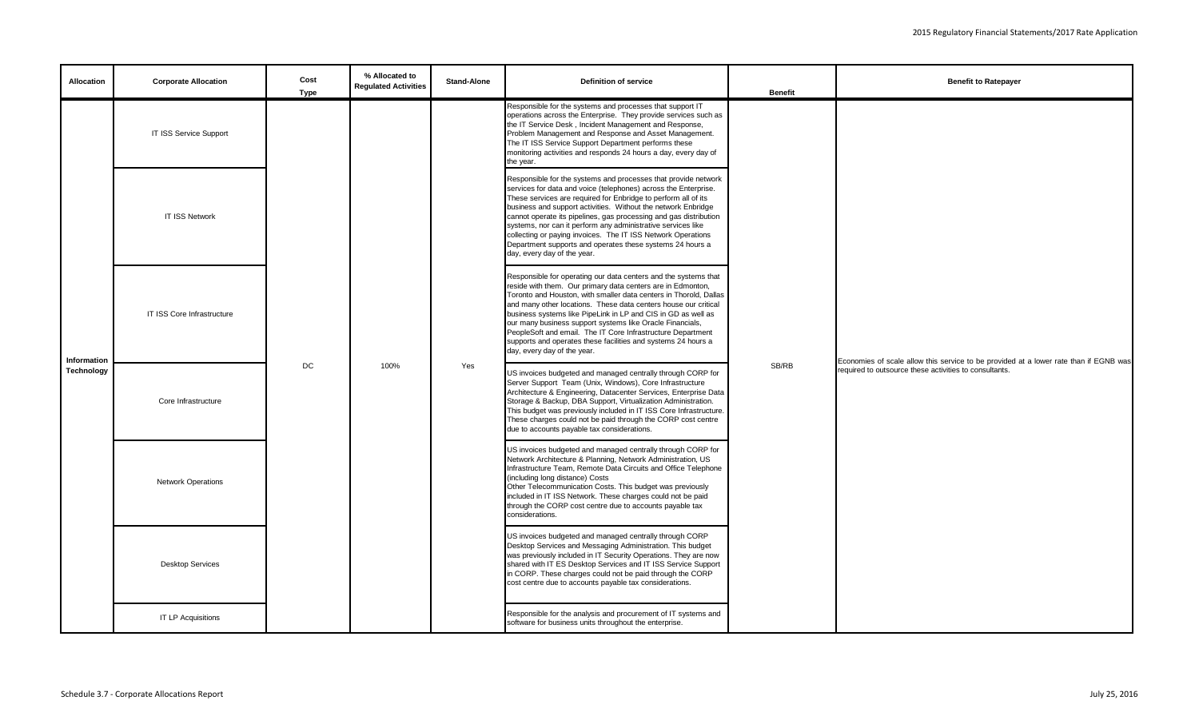| <b>Allocation</b> | <b>Corporate Allocation</b> | Cost<br><b>Type</b> | % Allocated to<br><b>Regulated Activities</b> | <b>Stand-Alone</b> | <b>Definition of service</b>                                                                                                                                                                                                                                                                                                                                                                                                                                                                                                                                          | <b>Benefit</b> | <b>Benefit to Ratepayer</b>                                                           |
|-------------------|-----------------------------|---------------------|-----------------------------------------------|--------------------|-----------------------------------------------------------------------------------------------------------------------------------------------------------------------------------------------------------------------------------------------------------------------------------------------------------------------------------------------------------------------------------------------------------------------------------------------------------------------------------------------------------------------------------------------------------------------|----------------|---------------------------------------------------------------------------------------|
|                   | IT ISS Service Support      |                     |                                               |                    | Responsible for the systems and processes that support IT<br>operations across the Enterprise. They provide services such as<br>the IT Service Desk, Incident Management and Response,<br>Problem Management and Response and Asset Management.<br>The IT ISS Service Support Department performs these<br>monitoring activities and responds 24 hours a day, every day of<br>the year.                                                                                                                                                                               |                |                                                                                       |
|                   | <b>IT ISS Network</b>       |                     |                                               |                    | Responsible for the systems and processes that provide network<br>services for data and voice (telephones) across the Enterprise.<br>These services are required for Enbridge to perform all of its<br>business and support activities. Without the network Enbridge<br>cannot operate its pipelines, gas processing and gas distribution<br>systems, nor can it perform any administrative services like<br>collecting or paying invoices. The IT ISS Network Operations<br>Department supports and operates these systems 24 hours a<br>day, every day of the year. |                |                                                                                       |
| Information       | IT ISS Core Infrastructure  |                     |                                               |                    | Responsible for operating our data centers and the systems that<br>reside with them. Our primary data centers are in Edmonton,<br>Toronto and Houston, with smaller data centers in Thorold, Dallas<br>and many other locations. These data centers house our critical<br>business systems like PipeLink in LP and CIS in GD as well as<br>our many business support systems like Oracle Financials,<br>PeopleSoft and email. The IT Core Infrastructure Department<br>supports and operates these facilities and systems 24 hours a<br>day, every day of the year.   |                | Economies of scale allow this service to be provided at a lower rate than if EGNB was |
| Technology        | Core Infrastructure         | DC                  | 100%                                          | Yes                | US invoices budgeted and managed centrally through CORP for<br>Server Support Team (Unix, Windows), Core Infrastructure<br>Architecture & Engineering, Datacenter Services, Enterprise Data<br>Storage & Backup, DBA Support, Virtualization Administration.<br>This budget was previously included in IT ISS Core Infrastructure.<br>These charges could not be paid through the CORP cost centre<br>due to accounts payable tax considerations.                                                                                                                     | SB/RB          | required to outsource these activities to consultants.                                |
|                   | <b>Network Operations</b>   |                     |                                               |                    | US invoices budgeted and managed centrally through CORP for<br>Network Architecture & Planning, Network Administration, US<br>Infrastructure Team, Remote Data Circuits and Office Telephone<br>(including long distance) Costs<br>Other Telecommunication Costs. This budget was previously<br>included in IT ISS Network. These charges could not be paid<br>through the CORP cost centre due to accounts payable tax<br>considerations.                                                                                                                            |                |                                                                                       |
|                   | <b>Desktop Services</b>     |                     |                                               |                    | US invoices budgeted and managed centrally through CORP<br>Desktop Services and Messaging Administration. This budget<br>was previously included in IT Security Operations. They are now<br>shared with IT ES Desktop Services and IT ISS Service Support<br>in CORP. These charges could not be paid through the CORP<br>cost centre due to accounts payable tax considerations.                                                                                                                                                                                     |                |                                                                                       |
|                   | <b>IT LP Acquisitions</b>   |                     |                                               |                    | Responsible for the analysis and procurement of IT systems and<br>software for business units throughout the enterprise.                                                                                                                                                                                                                                                                                                                                                                                                                                              |                |                                                                                       |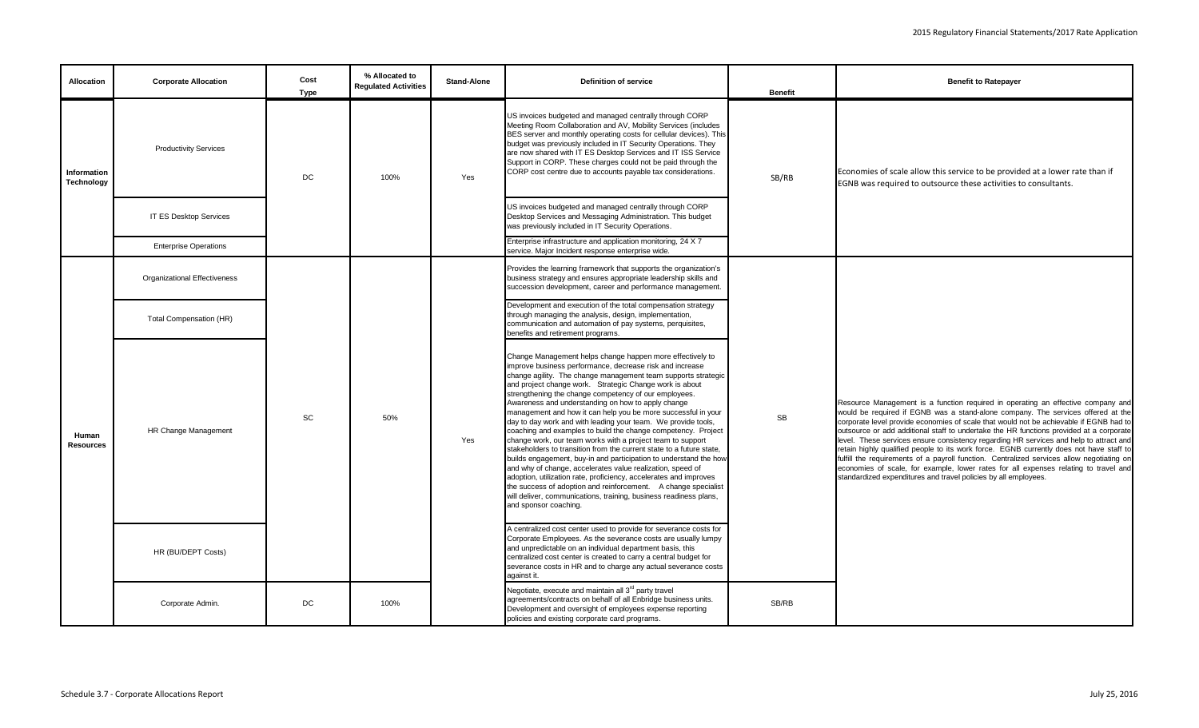| <b>Allocation</b>         | <b>Corporate Allocation</b>         | Cost<br><b>Type</b> | % Allocated to<br><b>Regulated Activities</b> | <b>Stand-Alone</b> | <b>Definition of service</b>                                                                                                                                                                                                                                                                                                                                                                                                                                                                                                                                                                                                                                                                                                                                                                                                                                                                                                                                                                                                                                                      | <b>Benefit</b> | <b>Benefit to Ratepayer</b>                                                                                                                                                                                                                                                                                                                                                                                                                                                                                                                                                                                                                                                                                                                                                                            |
|---------------------------|-------------------------------------|---------------------|-----------------------------------------------|--------------------|-----------------------------------------------------------------------------------------------------------------------------------------------------------------------------------------------------------------------------------------------------------------------------------------------------------------------------------------------------------------------------------------------------------------------------------------------------------------------------------------------------------------------------------------------------------------------------------------------------------------------------------------------------------------------------------------------------------------------------------------------------------------------------------------------------------------------------------------------------------------------------------------------------------------------------------------------------------------------------------------------------------------------------------------------------------------------------------|----------------|--------------------------------------------------------------------------------------------------------------------------------------------------------------------------------------------------------------------------------------------------------------------------------------------------------------------------------------------------------------------------------------------------------------------------------------------------------------------------------------------------------------------------------------------------------------------------------------------------------------------------------------------------------------------------------------------------------------------------------------------------------------------------------------------------------|
| Information<br>Technology | <b>Productivity Services</b>        | DC                  | 100%                                          | Yes                | US invoices budgeted and managed centrally through CORP<br>Meeting Room Collaboration and AV, Mobility Services (includes<br>BES server and monthly operating costs for cellular devices). This<br>budget was previously included in IT Security Operations. They<br>are now shared with IT ES Desktop Services and IT ISS Service<br>Support in CORP. These charges could not be paid through the<br>CORP cost centre due to accounts payable tax considerations.                                                                                                                                                                                                                                                                                                                                                                                                                                                                                                                                                                                                                | SB/RB          | Economies of scale allow this service to be provided at a lower rate than if<br>EGNB was required to outsource these activities to consultants.                                                                                                                                                                                                                                                                                                                                                                                                                                                                                                                                                                                                                                                        |
|                           | <b>IT ES Desktop Services</b>       |                     |                                               |                    | US invoices budgeted and managed centrally through CORP<br>Desktop Services and Messaging Administration. This budget<br>was previously included in IT Security Operations.                                                                                                                                                                                                                                                                                                                                                                                                                                                                                                                                                                                                                                                                                                                                                                                                                                                                                                       |                |                                                                                                                                                                                                                                                                                                                                                                                                                                                                                                                                                                                                                                                                                                                                                                                                        |
|                           | <b>Enterprise Operations</b>        |                     |                                               |                    | Enterprise infrastructure and application monitoring, 24 X 7<br>service. Major Incident response enterprise wide.                                                                                                                                                                                                                                                                                                                                                                                                                                                                                                                                                                                                                                                                                                                                                                                                                                                                                                                                                                 |                |                                                                                                                                                                                                                                                                                                                                                                                                                                                                                                                                                                                                                                                                                                                                                                                                        |
|                           | <b>Organizational Effectiveness</b> |                     |                                               |                    | Provides the learning framework that supports the organization's<br>business strategy and ensures appropriate leadership skills and<br>succession development, career and performance management                                                                                                                                                                                                                                                                                                                                                                                                                                                                                                                                                                                                                                                                                                                                                                                                                                                                                  |                |                                                                                                                                                                                                                                                                                                                                                                                                                                                                                                                                                                                                                                                                                                                                                                                                        |
|                           | <b>Total Compensation (HR)</b>      |                     |                                               |                    | Development and execution of the total compensation strategy<br>through managing the analysis, design, implementation,<br>communication and automation of pay systems, perquisites,<br>benefits and retirement programs.                                                                                                                                                                                                                                                                                                                                                                                                                                                                                                                                                                                                                                                                                                                                                                                                                                                          |                |                                                                                                                                                                                                                                                                                                                                                                                                                                                                                                                                                                                                                                                                                                                                                                                                        |
| Human<br><b>Resources</b> | HR Change Management                | SC                  | 50%                                           | Yes                | Change Management helps change happen more effectively to<br>improve business performance, decrease risk and increase<br>change agility. The change management team supports strategic<br>and project change work. Strategic Change work is about<br>strengthening the change competency of our employees.<br>Awareness and understanding on how to apply change<br>management and how it can help you be more successful in your<br>day to day work and with leading your team. We provide tools,<br>coaching and examples to build the change competency. Project<br>change work, our team works with a project team to support<br>stakeholders to transition from the current state to a future state,<br>builds engagement, buy-in and participation to understand the how<br>and why of change, accelerates value realization, speed of<br>adoption, utilization rate, proficiency, accelerates and improves<br>the success of adoption and reinforcement. A change specialist<br>will deliver, communications, training, business readiness plans,<br>and sponsor coaching. | <b>SB</b>      | Resource Management is a function required in operating an effective company and<br>would be required if EGNB was a stand-alone company. The services offered at the<br>corporate level provide economies of scale that would not be achievable if EGNB had to<br>outsource or add additional staff to undertake the HR functions provided at a corporate<br>level. These services ensure consistency regarding HR services and help to attract and<br>retain highly qualified people to its work force. EGNB currently does not have staff to<br>fulfill the requirements of a payroll function. Centralized services allow negotiating on<br>economies of scale, for example, lower rates for all expenses relating to travel and<br>standardized expenditures and travel policies by all employees. |
|                           | HR (BU/DEPT Costs)                  |                     |                                               |                    | A centralized cost center used to provide for severance costs for<br>Corporate Employees. As the severance costs are usually lumpy<br>and unpredictable on an individual department basis, this<br>centralized cost center is created to carry a central budget for<br>severance costs in HR and to charge any actual severance costs<br>against it.                                                                                                                                                                                                                                                                                                                                                                                                                                                                                                                                                                                                                                                                                                                              |                |                                                                                                                                                                                                                                                                                                                                                                                                                                                                                                                                                                                                                                                                                                                                                                                                        |
|                           | Corporate Admin.                    | DC                  | 100%                                          |                    | Negotiate, execute and maintain all 3 <sup>rd</sup> party travel<br>agreements/contracts on behalf of all Enbridge business units.<br>Development and oversight of employees expense reporting<br>policies and existing corporate card programs.                                                                                                                                                                                                                                                                                                                                                                                                                                                                                                                                                                                                                                                                                                                                                                                                                                  | SB/RB          |                                                                                                                                                                                                                                                                                                                                                                                                                                                                                                                                                                                                                                                                                                                                                                                                        |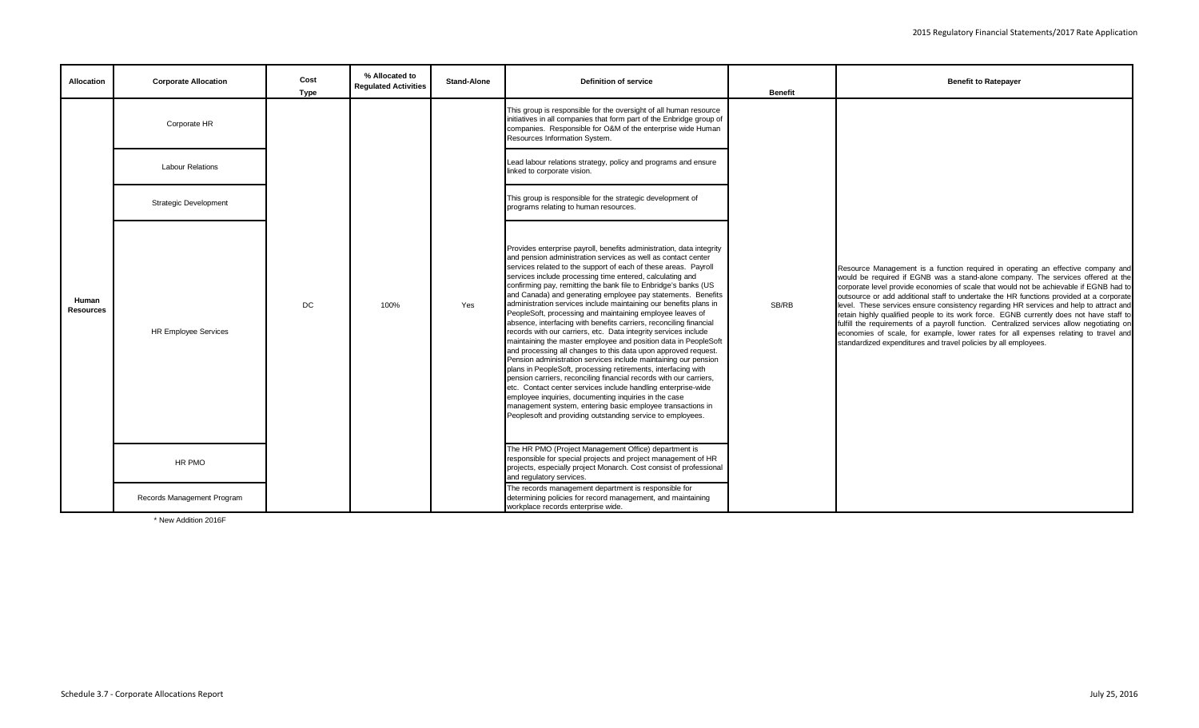| Allocation                | <b>Corporate Allocation</b>  | Cost<br><b>Type</b> | % Allocated to<br><b>Regulated Activities</b> | <b>Stand-Alone</b> | Definition of service                                                                                                                                                                                                                                                                                                                                                                                                                                                                                                                                                                                                                                                                                                                                                                                                                                                                                                                                                                                                                                                                                                                                                                                                                                                                    | <b>Benefit</b> | <b>Benefit to Ratepayer</b>                                                                                                                                                                                                                                                                                                                                                                                                                                                                                                                                                                                                                                                                                                                                                                            |
|---------------------------|------------------------------|---------------------|-----------------------------------------------|--------------------|------------------------------------------------------------------------------------------------------------------------------------------------------------------------------------------------------------------------------------------------------------------------------------------------------------------------------------------------------------------------------------------------------------------------------------------------------------------------------------------------------------------------------------------------------------------------------------------------------------------------------------------------------------------------------------------------------------------------------------------------------------------------------------------------------------------------------------------------------------------------------------------------------------------------------------------------------------------------------------------------------------------------------------------------------------------------------------------------------------------------------------------------------------------------------------------------------------------------------------------------------------------------------------------|----------------|--------------------------------------------------------------------------------------------------------------------------------------------------------------------------------------------------------------------------------------------------------------------------------------------------------------------------------------------------------------------------------------------------------------------------------------------------------------------------------------------------------------------------------------------------------------------------------------------------------------------------------------------------------------------------------------------------------------------------------------------------------------------------------------------------------|
|                           | Corporate HR                 |                     |                                               |                    | This group is responsible for the oversight of all human resource<br>initiatives in all companies that form part of the Enbridge group of<br>companies. Responsible for O&M of the enterprise wide Human<br>Resources Information System.                                                                                                                                                                                                                                                                                                                                                                                                                                                                                                                                                                                                                                                                                                                                                                                                                                                                                                                                                                                                                                                |                |                                                                                                                                                                                                                                                                                                                                                                                                                                                                                                                                                                                                                                                                                                                                                                                                        |
|                           | <b>Labour Relations</b>      |                     |                                               |                    | Lead labour relations strategy, policy and programs and ensure<br>linked to corporate vision.                                                                                                                                                                                                                                                                                                                                                                                                                                                                                                                                                                                                                                                                                                                                                                                                                                                                                                                                                                                                                                                                                                                                                                                            |                |                                                                                                                                                                                                                                                                                                                                                                                                                                                                                                                                                                                                                                                                                                                                                                                                        |
|                           | <b>Strategic Development</b> |                     |                                               |                    | This group is responsible for the strategic development of<br>programs relating to human resources.                                                                                                                                                                                                                                                                                                                                                                                                                                                                                                                                                                                                                                                                                                                                                                                                                                                                                                                                                                                                                                                                                                                                                                                      |                |                                                                                                                                                                                                                                                                                                                                                                                                                                                                                                                                                                                                                                                                                                                                                                                                        |
| Human<br><b>Resources</b> | <b>HR Employee Services</b>  | DC                  | 100%                                          | Yes                | Provides enterprise payroll, benefits administration, data integrity<br>and pension administration services as well as contact center<br>services related to the support of each of these areas. Payroll<br>services include processing time entered, calculating and<br>confirming pay, remitting the bank file to Enbridge's banks (US<br>and Canada) and generating employee pay statements. Benefits<br>administration services include maintaining our benefits plans in<br>PeopleSoft, processing and maintaining employee leaves of<br>absence, interfacing with benefits carriers, reconciling financial<br>records with our carriers, etc. Data integrity services include<br>maintaining the master employee and position data in PeopleSoft<br>and processing all changes to this data upon approved request.<br>Pension administration services include maintaining our pension<br>plans in PeopleSoft, processing retirements, interfacing with<br>pension carriers, reconciling financial records with our carriers,<br>etc. Contact center services include handling enterprise-wide<br>employee inquiries, documenting inquiries in the case<br>management system, entering basic employee transactions in<br>Peoplesoft and providing outstanding service to employees. | SB/RB          | Resource Management is a function required in operating an effective company and<br>would be required if EGNB was a stand-alone company. The services offered at the<br>corporate level provide economies of scale that would not be achievable if EGNB had to<br>outsource or add additional staff to undertake the HR functions provided at a corporate<br>level. These services ensure consistency regarding HR services and help to attract and<br>retain highly qualified people to its work force. EGNB currently does not have staff to<br>fulfill the requirements of a payroll function. Centralized services allow negotiating on<br>economies of scale, for example, lower rates for all expenses relating to travel and<br>standardized expenditures and travel policies by all employees. |
|                           | HR PMO                       |                     |                                               |                    | The HR PMO (Project Management Office) department is<br>responsible for special projects and project management of HR<br>projects, especially project Monarch. Cost consist of professional<br>and regulatory services.                                                                                                                                                                                                                                                                                                                                                                                                                                                                                                                                                                                                                                                                                                                                                                                                                                                                                                                                                                                                                                                                  |                |                                                                                                                                                                                                                                                                                                                                                                                                                                                                                                                                                                                                                                                                                                                                                                                                        |
|                           | Records Management Program   |                     |                                               |                    | The records management department is responsible for<br>determining policies for record management, and maintaining<br>workplace records enterprise wide.                                                                                                                                                                                                                                                                                                                                                                                                                                                                                                                                                                                                                                                                                                                                                                                                                                                                                                                                                                                                                                                                                                                                |                |                                                                                                                                                                                                                                                                                                                                                                                                                                                                                                                                                                                                                                                                                                                                                                                                        |

\* New Addition 2016F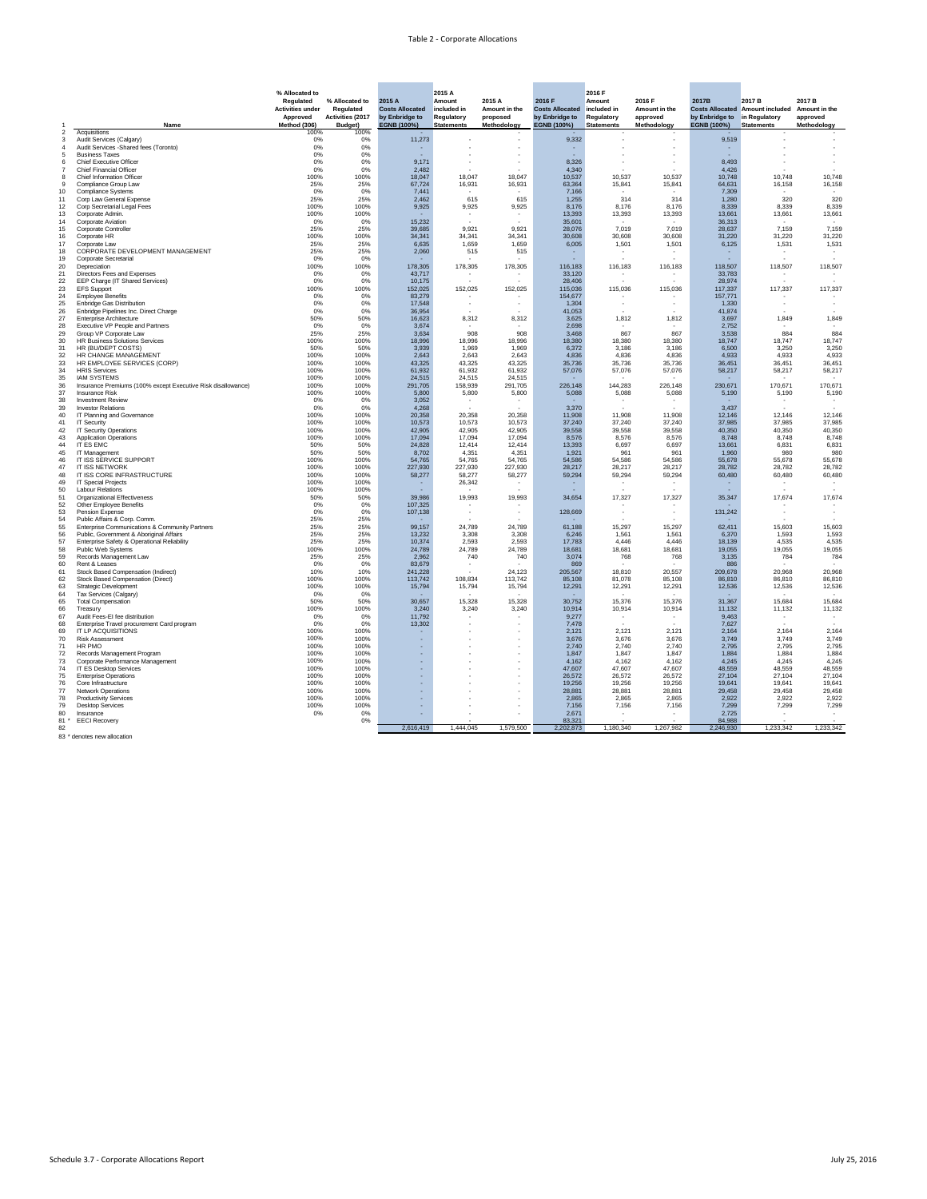



|                |                                                                                                      | % Allocated to<br><b>Regulated</b><br><b>Activities under</b><br><b>Approved</b> | % Allocated to<br><b>Regulated</b><br><b>Activities (2017</b> | 2015 A<br><b>Costs Allocated</b><br>by Enbridge to | 2015 A<br><b>Amount</b><br>included in<br><b>Regulatory</b> | 2015 A<br>Amount in the<br>proposed | 2016 F<br><b>Costs Allocated</b><br>by Enbridge to | 2016 F<br><b>Amount</b><br>included in<br>Regulatory | 2016 F<br>Amount in the<br>approved | 2017B<br><b>Costs Allocated</b><br>by Enbridge to | 2017 B<br><b>Amount included</b><br>in Regulatory | 2017 B<br>Amount in the<br>approved |
|----------------|------------------------------------------------------------------------------------------------------|----------------------------------------------------------------------------------|---------------------------------------------------------------|----------------------------------------------------|-------------------------------------------------------------|-------------------------------------|----------------------------------------------------|------------------------------------------------------|-------------------------------------|---------------------------------------------------|---------------------------------------------------|-------------------------------------|
| $\overline{2}$ | Name<br>Acquisitions                                                                                 | Method (306)<br>100%                                                             | <b>Budget</b> )<br>100%                                       | EGNB (100%)                                        | <b>Statements</b>                                           | Methodology                         | EGNB (100%)                                        | <b>Statements</b>                                    | Methodology<br>$\sim$               | EGNB (100%)                                       | <b>Statements</b>                                 | Methodology                         |
| 3              | Audit Services (Calgary)                                                                             | 0%                                                                               | 0%                                                            | 11,273                                             |                                                             |                                     | 9,332                                              |                                                      | $\overline{\phantom{a}}$            | 9,519                                             |                                                   |                                     |
|                | Audit Services - Shared fees (Toronto)<br><b>Business Taxes</b>                                      | 0%                                                                               | $0\%$<br>0%                                                   |                                                    |                                                             |                                     |                                                    |                                                      | $\blacksquare$                      |                                                   |                                                   |                                     |
|                | <b>Chief Executive Officer</b>                                                                       | 0%<br>0%                                                                         | $0\%$                                                         | 9,171                                              |                                                             |                                     | 8,326                                              |                                                      | $\blacksquare$<br>٠                 | 8,493                                             |                                                   |                                     |
|                | <b>Chief Financial Officer</b>                                                                       | 0%                                                                               | $0\%$                                                         | 2,482                                              | $\sim$                                                      |                                     | 4,340                                              |                                                      | $\blacksquare$                      | 4,426                                             |                                                   |                                     |
|                | <b>Chief Information Officer</b>                                                                     | 100%                                                                             | 100%<br>25%                                                   | 18,047                                             | 18,047                                                      | 18,047                              | 10,537                                             | 10,537                                               | 10,537                              | 10,748                                            | 10,748                                            | 10,748                              |
| -9<br>10       | Compliance Group Law<br><b>Compliance Systems</b>                                                    | 25%<br>0%                                                                        | 0%                                                            | 67,724<br>7,441                                    | 16,931<br>$\sim$                                            | 16,931                              | 63,364<br>7,166                                    | 15,841<br>$\sim$                                     | 15,841<br>$\sim$                    | 64,631<br>7,309                                   | 16,158                                            | 16,158                              |
| 11             | Corp Law General Expense                                                                             | 25%                                                                              | 25%                                                           | 2,462                                              | 615                                                         | 615                                 | 1,255                                              | 314                                                  | 314                                 | 1,280                                             | 320                                               | 320                                 |
| 12             | <b>Corp Secretarial Legal Fees</b><br>Corporate Admin.                                               | 100%<br>100%                                                                     | 100%<br>100%                                                  | 9,925                                              | 9,925                                                       | 9,925                               | 8,176                                              | 8,176                                                | 8,176                               | 8,339<br>13,661                                   | 8,339                                             | 8,339<br>13,661                     |
| 13<br>14       | <b>Corporate Aviation</b>                                                                            | 0%                                                                               | 0%                                                            | 15,232                                             | $\sim$<br>$\sim$                                            |                                     | 13,393<br>35,601                                   | 13,393<br>$\sim$                                     | 13,393<br>$\sim$                    | 36,313                                            | 13,661                                            |                                     |
| 15             | Corporate Controller                                                                                 | 25%                                                                              | 25%                                                           | 39,685                                             | 9,921                                                       | 9,921                               | 28,076                                             | 7,019                                                | 7,019                               | 28,637                                            | 7,159                                             | 7,159                               |
| 16<br>17       | Corporate HR                                                                                         | 100%                                                                             | 100%                                                          | 34,341                                             | 34,341                                                      | 34,341                              | 30,608                                             | 30,608                                               | 30,608                              | 31,220                                            | 31,220                                            | 31,220                              |
| 18             | Corporate Law<br>CORPORATE DEVELOPMENT MANAGEMENT                                                    | 25%<br>25%                                                                       | 25%<br>25%                                                    | 6,635<br>2,060                                     | 1,659<br>515                                                | 1,659<br>515                        | 6,005                                              | 1,501<br>$\sim$                                      | 1,501<br>۰.                         | 6,125                                             | 1,531                                             | 1,531                               |
| 19             | <b>Corporate Secretarial</b>                                                                         | 0%                                                                               | 0%                                                            | н.                                                 | $\sim$                                                      |                                     |                                                    |                                                      | ٠.                                  | н.                                                |                                                   |                                     |
| 20             | Depreciation                                                                                         | 100%                                                                             | 100%                                                          | 178,305                                            | 178,305                                                     | 178,305                             | 116,183                                            | 116,183                                              | 116,183                             | 118,507                                           | 118,507                                           | 118,507                             |
| 21<br>22       | Directors Fees and Expenses<br>EEP Charge (IT Shared Services)                                       | 0%<br>0%                                                                         | 0%<br>0%                                                      | 43,717<br>10,175                                   | $\sim$<br>$\sim$                                            |                                     | 33,120<br>28,406                                   |                                                      | ۰.                                  | 33,783<br>28,974                                  |                                                   |                                     |
| 23             | <b>EFS Support</b>                                                                                   | 100%                                                                             | 100%                                                          | 152,025                                            | 152,025                                                     | 152,025                             | 115,036                                            | 115,036                                              | 115,036                             | 117,337                                           | 117,337                                           | 117,337                             |
| 24             | <b>Employee Benefits</b><br><b>Enbridge Gas Distribution</b>                                         | 0%                                                                               | 0%<br>0%                                                      | 83,279                                             | $\sim$                                                      |                                     | 154,677<br>1,304                                   | $\sim$                                               | $\blacksquare$                      | 157,771                                           |                                                   |                                     |
| 25<br>26       | Enbridge Pipelines Inc. Direct Charge                                                                | 0%<br>0%                                                                         | 0%                                                            | 17,548<br>36,954                                   | $\sim$<br>$\sim$                                            |                                     | 41,053                                             |                                                      | ٠<br>۰.                             | 1,330<br>41,874                                   |                                                   |                                     |
| 27             | <b>Enterprise Architecture</b>                                                                       | 50%                                                                              | 50%                                                           | 16,623                                             | 8,312                                                       | 8,312                               | 3,625                                              | 1,812                                                | 1,812                               | 3,697                                             | 1,849                                             | 1,849                               |
| 28<br>29       | <b>Executive VP People and Partners</b><br>Group VP Corporate Law                                    | 0%<br>25%                                                                        | 0%<br>25%                                                     | 3,674<br>3,634                                     | $\sim$<br>908                                               | 908                                 | 2,698<br>3,468                                     | $\sim$<br>867                                        | $\sim$<br>867                       | 2,752<br>3,538                                    | 884                                               | 884                                 |
| 30             | <b>HR Business Solutions Services</b>                                                                | 100%                                                                             | 100%                                                          | 18,996                                             | 18,996                                                      | 18,996                              | 18,380                                             | 18,380                                               | 18,380                              | 18,747                                            | 18,747                                            | 18,747                              |
| 31             | HR (BU/DEPT COSTS)                                                                                   | 50%                                                                              | 50%                                                           | 3,939                                              | 1,969                                                       | 1,969                               | 6,372                                              | 3,186                                                | 3,186                               | 6,500                                             | 3,250                                             | 3,250                               |
| 32             | HR CHANGE MANAGEMENT                                                                                 | 100%<br>100%                                                                     | 100%<br>100%                                                  | 2,643<br>43,325                                    | 2,643<br>43,325                                             | 2,643<br>43,325                     | 4,836                                              | 4,836<br>35,736                                      | 4,836<br>35,736                     | 4,933<br>36,451                                   | 4,933<br>36,451                                   | 4,933<br>36,451                     |
| 33<br>34       | HR EMPLOYEE SERVICES (CORP)<br><b>HRIS Services</b>                                                  | 100%                                                                             | 100%                                                          | 61,932                                             | 61,932                                                      | 61,932                              | 35,736<br>57,076                                   | 57,076                                               | 57,076                              | 58,217                                            | 58,217                                            | 58,217                              |
| 35             | <b>IAM SYSTEMS</b>                                                                                   | 100%                                                                             | 100%                                                          | 24,515                                             | 24,515                                                      | 24,515                              |                                                    |                                                      |                                     |                                                   |                                                   |                                     |
| 36<br>37       | Insurance Premiums (100% except Executive Risk disallowance)<br>Insurance Risk                       | 100%<br>100%                                                                     | 100%<br>100%                                                  | 291,705<br>5,800                                   | 158,939<br>5,800                                            | 291,705<br>5,800                    | 226,148<br>5,088                                   | 144,283<br>5,088                                     | 226,148<br>5,088                    | 230,671<br>5,190                                  | 170,671<br>5,190                                  | 170,671<br>5,190                    |
| 38             | <b>Investment Review</b>                                                                             | 0%                                                                               | 0%                                                            | 3,052                                              |                                                             |                                     |                                                    |                                                      |                                     |                                                   |                                                   |                                     |
| 39             | <b>Investor Relations</b>                                                                            | 0%                                                                               | 0%                                                            | 4,268                                              | $\sim$                                                      |                                     | 3,370                                              |                                                      |                                     | 3,437                                             |                                                   |                                     |
| 40<br>41       | IT Planning and Governance<br><b>IT Security</b>                                                     | 100%<br>100%                                                                     | 100%<br>100%                                                  | 20,358<br>10,573                                   | 20,358<br>10,573                                            | 20,358<br>10,573                    | 11,908<br>37,240                                   | 11,908<br>37,240                                     | 11,908<br>37,240                    | 12,146<br>37,985                                  | 12,146<br>37,985                                  | 12,146<br>37,985                    |
| 42             | <b>IT Security Operations</b>                                                                        | 100%                                                                             | 100%                                                          | 42,905                                             | 42,905                                                      | 42,905                              | 39,558                                             | 39,558                                               | 39,558                              | 40,350                                            | 40,350                                            | 40,350                              |
| 43             | <b>Application Operations</b>                                                                        | 100%                                                                             | 100%                                                          | 17,094                                             | 17,094                                                      | 17,094                              | 8,576                                              | 8,576                                                | 8,576                               | 8,748                                             | 8,748                                             | 8,748                               |
| 44<br>45       | IT ES EMC<br>IT Management                                                                           | 50%<br>50%                                                                       | 50%<br>50%                                                    | 24,828<br>8,702                                    | 12,414<br>4,351                                             | 12,414<br>4,351                     | 13,393<br>1,921                                    | 6,697<br>961                                         | 6,697<br>961                        | 13,661<br>1,960                                   | 6,831<br>980                                      | 6,831<br>980                        |
| 46             | IT ISS SERVICE SUPPORT                                                                               | 100%                                                                             | 100%                                                          | 54,765                                             | 54,765                                                      | 54,765                              | 54,586                                             | 54,586                                               | 54,586                              | 55,678                                            | 55,678                                            | 55,678                              |
| 47             | <b>IT ISS NETWORK</b>                                                                                | 100%                                                                             | 100%                                                          | 227,930                                            | 227,930                                                     | 227,930                             | 28,217                                             | 28,217                                               | 28,217                              | 28,782                                            | 28,782                                            | 28,782                              |
| 48<br>49       | IT ISS CORE INFRASTRUCTURE<br><b>IT Special Projects</b>                                             | 100%<br>100%                                                                     | 100%<br>100%                                                  | 58,277                                             | 58,277<br>26,342                                            | 58,277                              | 59,294                                             | 59,294                                               | 59,294                              | 60,480                                            | 60,480                                            | 60,480                              |
| 50             | <b>Labour Relations</b>                                                                              | 100%                                                                             | 100%                                                          |                                                    | $\sim$                                                      |                                     |                                                    |                                                      | $\overline{\phantom{a}}$            |                                                   |                                                   |                                     |
| 51             | <b>Organizational Effectiveness</b>                                                                  | 50%                                                                              | 50%                                                           | 39,986                                             | 19,993                                                      | 19,993                              | 34,654                                             | 17,327                                               | 17,327                              | 35,347                                            | 17,674                                            | 17,674                              |
| 52<br>53       | <b>Other Employee Benefits</b><br>Pension Expense                                                    | 0%<br>0%                                                                         | 0%<br>0%                                                      | 107,325<br>107,138                                 | $\sim$                                                      |                                     | 128,669                                            |                                                      | $\sim$<br>٠                         | 131,242                                           |                                                   |                                     |
| 54             | Public Affairs & Corp. Comm                                                                          | 25%                                                                              | 25%                                                           |                                                    | $\sim$                                                      |                                     |                                                    |                                                      |                                     |                                                   |                                                   |                                     |
| 55<br>56       | <b>Enterprise Communications &amp; Community Partners</b><br>Public, Government & Aboriginal Affairs | 25%<br>25%                                                                       | 25%<br>25%                                                    | 99,157<br>13,232                                   | 24,789<br>3,308                                             | 24,789<br>3,308                     | 61,188<br>6,246                                    | 15,297<br>1,561                                      | 15,297<br>1,561                     | 62,411<br>6,370                                   | 15,603<br>1,593                                   | 15,603<br>1,593                     |
| 57             | Enterprise Safety & Operational Reliability                                                          | 25%                                                                              | 25%                                                           | 10,374                                             | 2,593                                                       | 2,593                               | 17,783                                             | 4,446                                                | 4,446                               | 18,139                                            | 4,535                                             | 4,535                               |
| 58             | Public Web Systems                                                                                   | 100%                                                                             | 100%                                                          | 24,789                                             | 24,789                                                      | 24,789                              | 18,681                                             | 18,681                                               | 18,681                              | 19,055                                            | 19,055                                            | 19,055                              |
| 59<br>60       | Records Management Law<br>Rent & Leases                                                              | 25%<br>0%                                                                        | 25%<br>0%                                                     | 2,962<br>83,679                                    | 740<br>$\sim$                                               | 740                                 | 3,074<br>869                                       | 768                                                  | 768                                 | 3,135<br>886                                      | 784                                               | 784                                 |
| 61             | <b>Stock Based Compensation (Indirect)</b>                                                           | 10%                                                                              | 10%                                                           | 241,228                                            |                                                             | 24,123                              | 205,567                                            | 18,810                                               | 20,557                              | 209,678                                           | 20,968                                            | 20,968                              |
| 62             | <b>Stock Based Compensation (Direct)</b>                                                             | 100%                                                                             | 100%                                                          | 113,742                                            | 108,834                                                     | 113,742                             | 85,108                                             | 81,078                                               | 85,108                              | 86,810                                            | 86,810                                            | 86,810                              |
| 63<br>64       | <b>Strategic Development</b><br>Tax Services (Calgary)                                               | 100%<br>0%                                                                       | 100%<br>0%                                                    | 15,794                                             | 15,794<br>$\sim$                                            | 15,794                              | 12,291                                             | 12,291                                               | 12,291                              | 12,536                                            | 12,536                                            | 12,536                              |
| 65             | <b>Total Compensation</b>                                                                            | 50%                                                                              | 50%                                                           | 30,657                                             | 15,328                                                      | 15,328                              | 30,752                                             | 15,376                                               | 15,376                              | 31,367                                            | 15,684                                            | 15,684                              |
| 66             | Treasury                                                                                             | 100%                                                                             | 100%                                                          | 3,240                                              | 3,240                                                       | 3,240                               | 10,914                                             | 10,914                                               | 10,914                              | 11,132                                            | 11,132                                            | 11,132                              |
| 67<br>68       | Audit Fees-EI fee distribution<br>Enterprise Travel procurement Card program                         | 0%<br>0%                                                                         | 0%<br>0%                                                      | 11,792<br>13,302                                   | $\sim$                                                      |                                     | 9,277<br>7,478                                     | $\sim$                                               |                                     | 9,463<br>7,627                                    | $\sim$                                            |                                     |
| 69             | IT LP ACQUISITIONS                                                                                   | 100%                                                                             | 100%                                                          |                                                    |                                                             |                                     | 2,121                                              | 2,121                                                | 2,121                               | 2,164                                             | 2,164                                             | 2,164                               |
| 70.            | <b>Risk Assessment</b>                                                                               | 100%                                                                             | 100%                                                          | ۰.                                                 |                                                             |                                     | 3,676                                              | 3,676                                                | 3,676                               | 3,749                                             | 3,749                                             | 3,749                               |
| 71<br>72       | HR PMO<br>Records Management Program                                                                 | 100%<br>100%                                                                     | 100%<br>100%                                                  | ۰.<br>н.                                           |                                                             | $\sim$                              | 2,740<br>1,847                                     | 2,740<br>1,847                                       | 2,740<br>1,847                      | 2,795<br>1,884                                    | 2,795<br>1,884                                    | 2,795<br>1,884                      |
| 73             | Corporate Performance Management                                                                     | 100%                                                                             | 100%                                                          | н.                                                 |                                                             |                                     | 4,162                                              | 4,162                                                | 4,162                               | 4,245                                             | 4,245                                             | 4,245                               |
| 74             | <b>IT ES Desktop Services</b>                                                                        | 100%                                                                             | 100%                                                          |                                                    |                                                             |                                     | 47,607                                             | 47,607                                               | 47,607                              | 48,559                                            | 48,559                                            | 48,559                              |
| 75<br>76       | <b>Enterprise Operations</b><br>Core Infrastructure                                                  | 100%<br>100%                                                                     | 100%<br>100%                                                  | н.                                                 |                                                             |                                     | 26,572<br>19,256                                   | 26,572<br>19,256                                     | 26,572<br>19,256                    | 27,104<br>19,641                                  | 27,104<br>19,641                                  | 27,104<br>19,641                    |
| 77             | <b>Network Operations</b>                                                                            | 100%                                                                             | 100%                                                          |                                                    |                                                             |                                     | 28,881                                             | 28,881                                               | 28,881                              | 29,458                                            | 29,458                                            | 29,458                              |
| 78<br>79       | <b>Productivity Services</b><br><b>Desktop Services</b>                                              | 100%<br>100%                                                                     | 100%<br>100%                                                  |                                                    |                                                             |                                     | 2,865<br>7,156                                     | 2,865<br>7,156                                       | 2,865<br>7,156                      | 2,922<br>7,299                                    | 2,922<br>7,299                                    | 2,922<br>7,299                      |
| 80             | Insurance                                                                                            | 0%                                                                               | 0%                                                            |                                                    |                                                             |                                     | 2,671                                              | $\sim$                                               | $\sim$                              | 2,725                                             |                                                   |                                     |
| $81 *$         | <b>EECI Recovery</b>                                                                                 |                                                                                  | 0%                                                            |                                                    |                                                             |                                     | 83,321                                             |                                                      | ۰.                                  | 84,988                                            |                                                   |                                     |
| 82             |                                                                                                      |                                                                                  |                                                               | 2,616,419                                          | 1,444,045                                                   | 1,579,500                           | 2,202,873                                          | 1,180,340                                            | 1,267,982                           | 2,246,930                                         | 1,233,342                                         | 1,233,342                           |

\* denotes new allocation